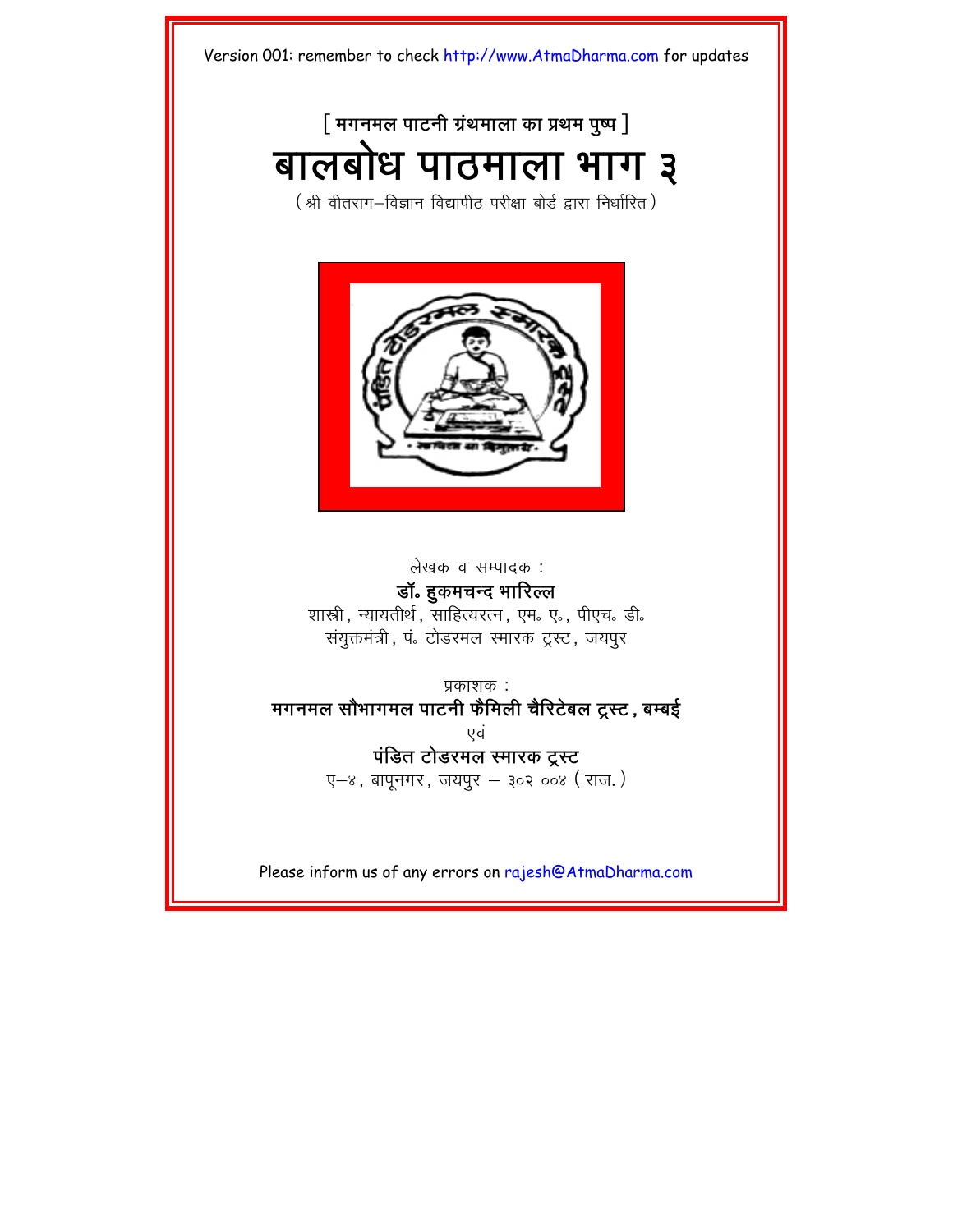## [ मगनमल पाटनी ग्रंथमाला का प्रथम पुष्प <u>]</u>

# बालबोध पाठमाला भाग ३

(श्री वीतराग-विज्ञान विद्यापीठ परीक्षा बोर्ड द्रारा निर्धारित)



लेखक व सम्पादक :

**डॉ. हुकमचन्द भारिल्ल** 

शास्री, न्यायतीर्थ, साहित्यरत्न, एम. ए., पीएच. डी. संयुक्तमंत्री, पं. टोडरमल स्मारक ट्रस्ट, जयपूर

 $\Psi$ काशक $\cdot$ : मगनमल सौभागमल पाटनी फैमिली चैरिटेबल ट्रस्ट, बम्बई एवं **पंडित टोडरमल स्मारक ट्रस्ट**  $Q-S$ , बापुनगर, जयपुर - ३०२ ००४ (राज.)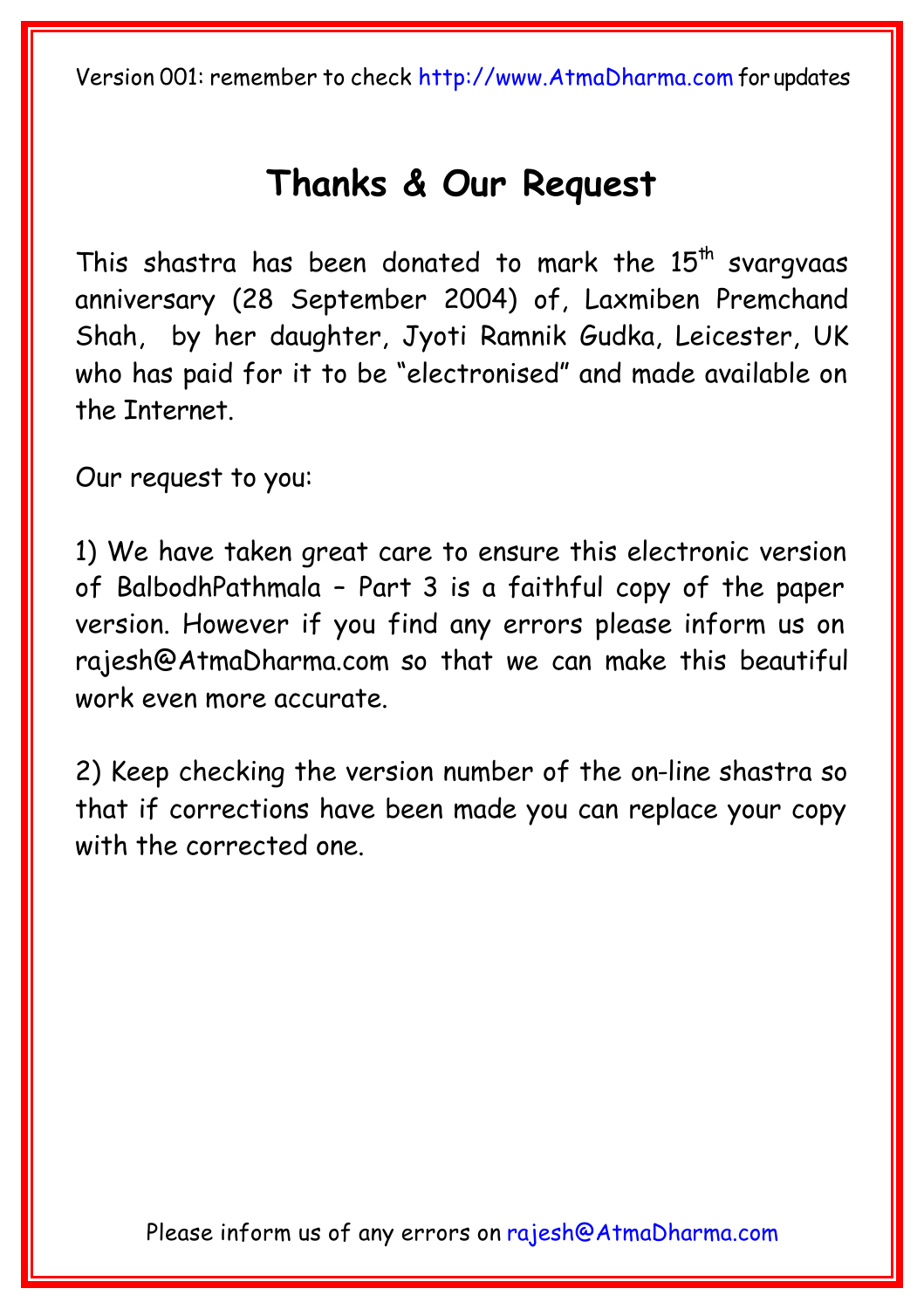## **[Thanks & Our Reque](mailto:rajesh@AtmaDharma.com)st**

This shastra has been donated to mark the  $15<sup>th</sup>$  svargvaas anniversary (28 September 2004) of, Laxmiben Premchand Shah, by her daughter, Jyoti Ramnik Gudka, Leicester, UK who has paid for it to be "electronised" and made available on the Internet.

Our request to y[ou:](http://www.atmadharma.com/donate)

1) We have taken great care to ensure this electronic version of BalbodhPathmala – Part 3 is a faithful copy of the paper version. However if you find any errors please inform us on rajesh@AtmaDharma.com so that we can make this beautiful work even more accurate.

2) Keep checking the version number of the on-line shastra so that if corrections have been made you can replace your copy with the corrected one.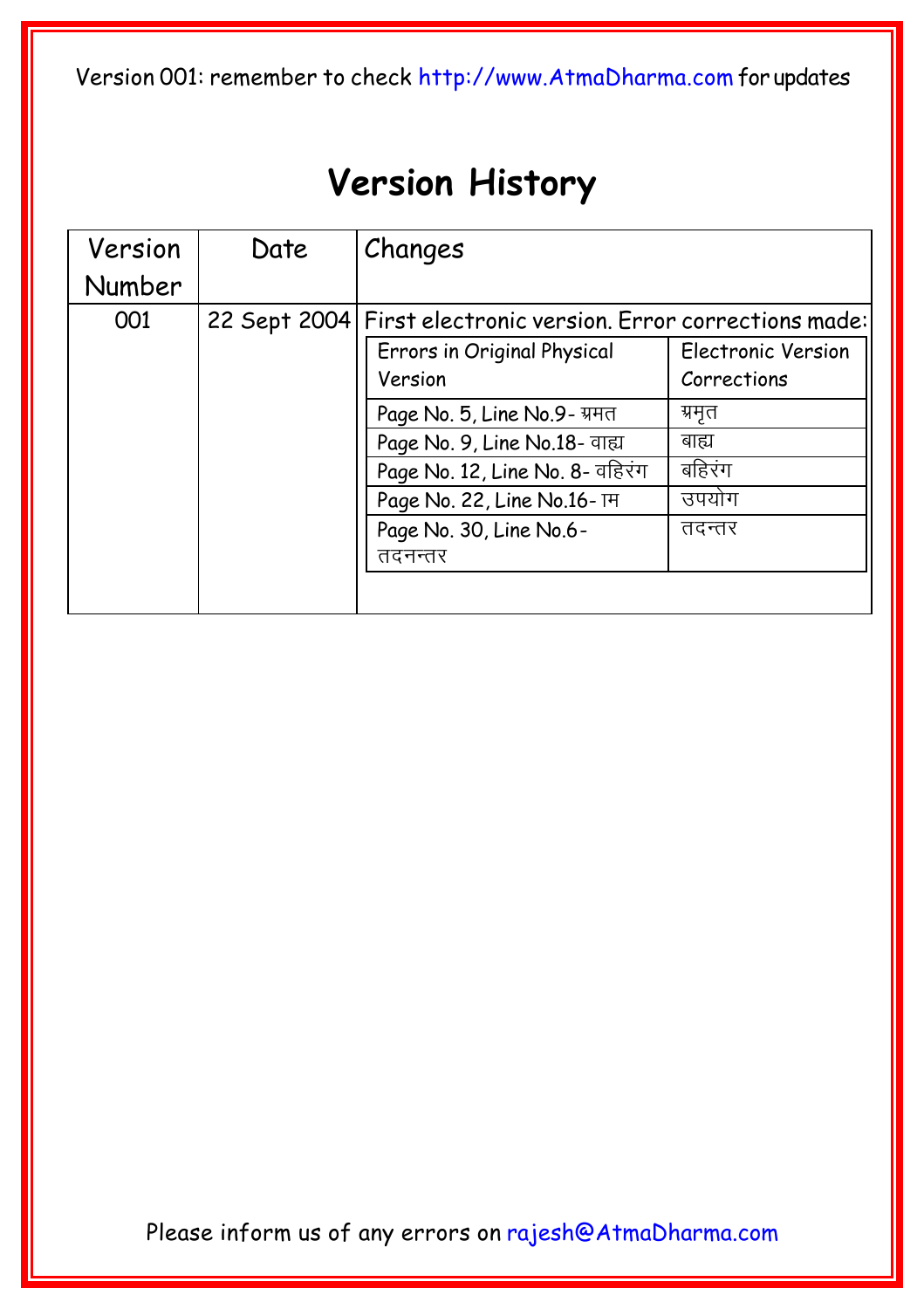# **Version History**

| Version | Date | Changes                                                        |                                          |  |
|---------|------|----------------------------------------------------------------|------------------------------------------|--|
| Number  |      |                                                                |                                          |  |
| 001     |      | 22 Sept 2004 First electronic version. Error corrections made: |                                          |  |
|         |      | Errors in Original Physical<br>Version                         | <b>Electronic Version</b><br>Corrections |  |
|         |      | Page No. 5, Line No.9- ग्रमत                                   | ग्रमृत                                   |  |
|         |      | Page No. 9, Line No.18- वाह्य                                  | बाह्य                                    |  |
|         |      | Page No. 12, Line No. 8- वहिरंग                                | बहिरंग                                   |  |
|         |      | Page No. 22, Line No.16-TH                                     | उपयोग                                    |  |
|         |      | Page No. 30, Line No.6-                                        | तदन्तर                                   |  |
|         |      | तदनन्तर                                                        |                                          |  |
|         |      |                                                                |                                          |  |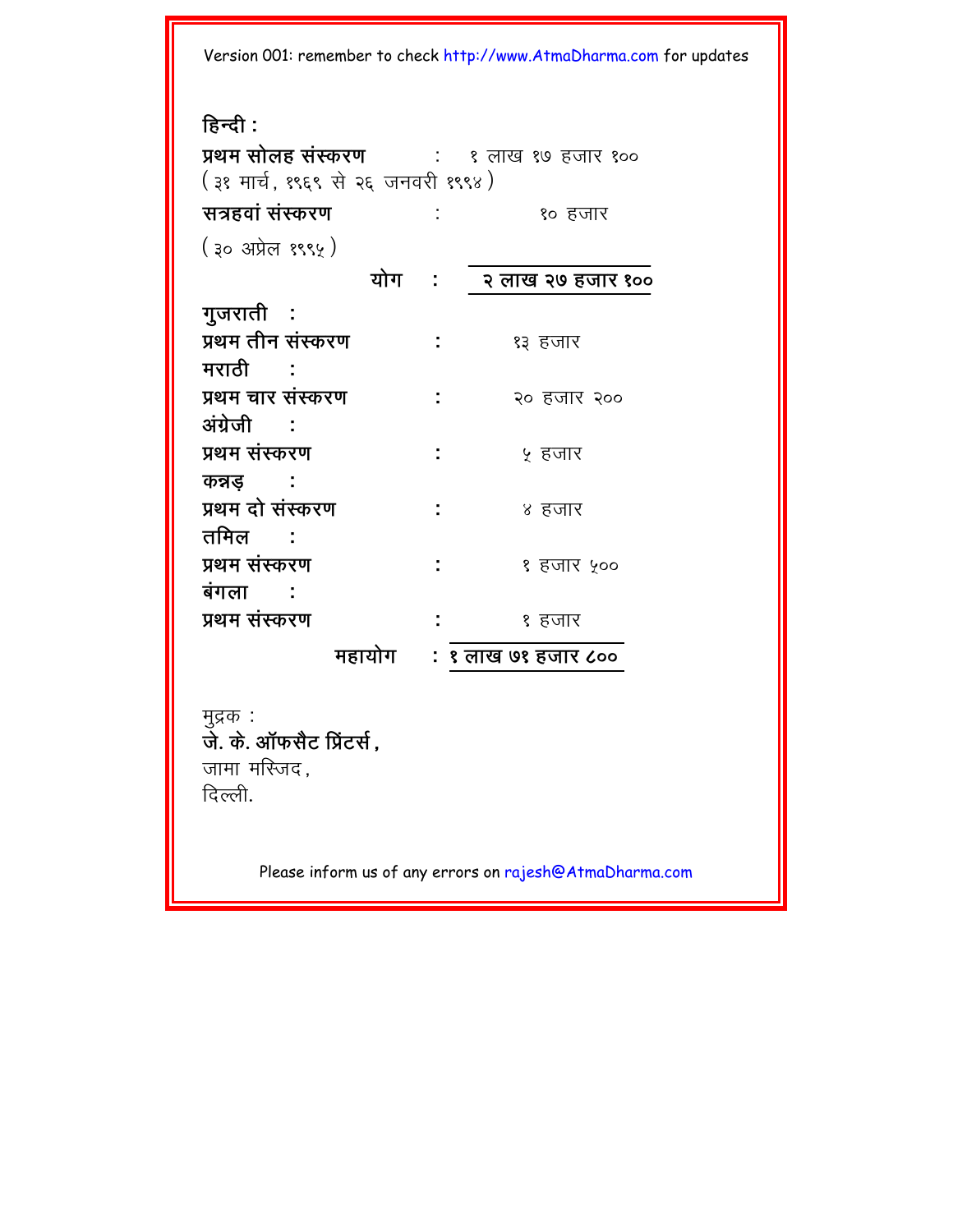**हिन्दी** : **प्रथम सोलह संस्करण विका**: १ लाख १७ हजार १०० (३१ मार्च, १९६९ से २६ जनवरी १९९४) **\and&**<br>**s** in the set of the set of the set of the set of the set of the set of the set of the set of the set of the s (३० अप्रेल १९९५) योग : २ लाख २७ हजार **१०० gujratI : Ý=m tIn sHSkr` :** 13 hjar मरा**ती : Ý=m car sHSkr` :** 20 hjar 200 **AHg/ejI : Ý=m sHSkr` :** 5 hjar <u>कन्नड :</u> **Ý=m dae sHSkr` :** 4 hjar तमिल : **Ý=m sHSkr` :** 1 hjar 500 **बंगला : Ý=m sHSkr` :** 1 hjar  **महायोग : १ लाख ७१ हजार ८००** 

मुद्रक) : **जे.** के. ऑफसैट प्रिंटर्स. जामा मस्जिद. दिल्ली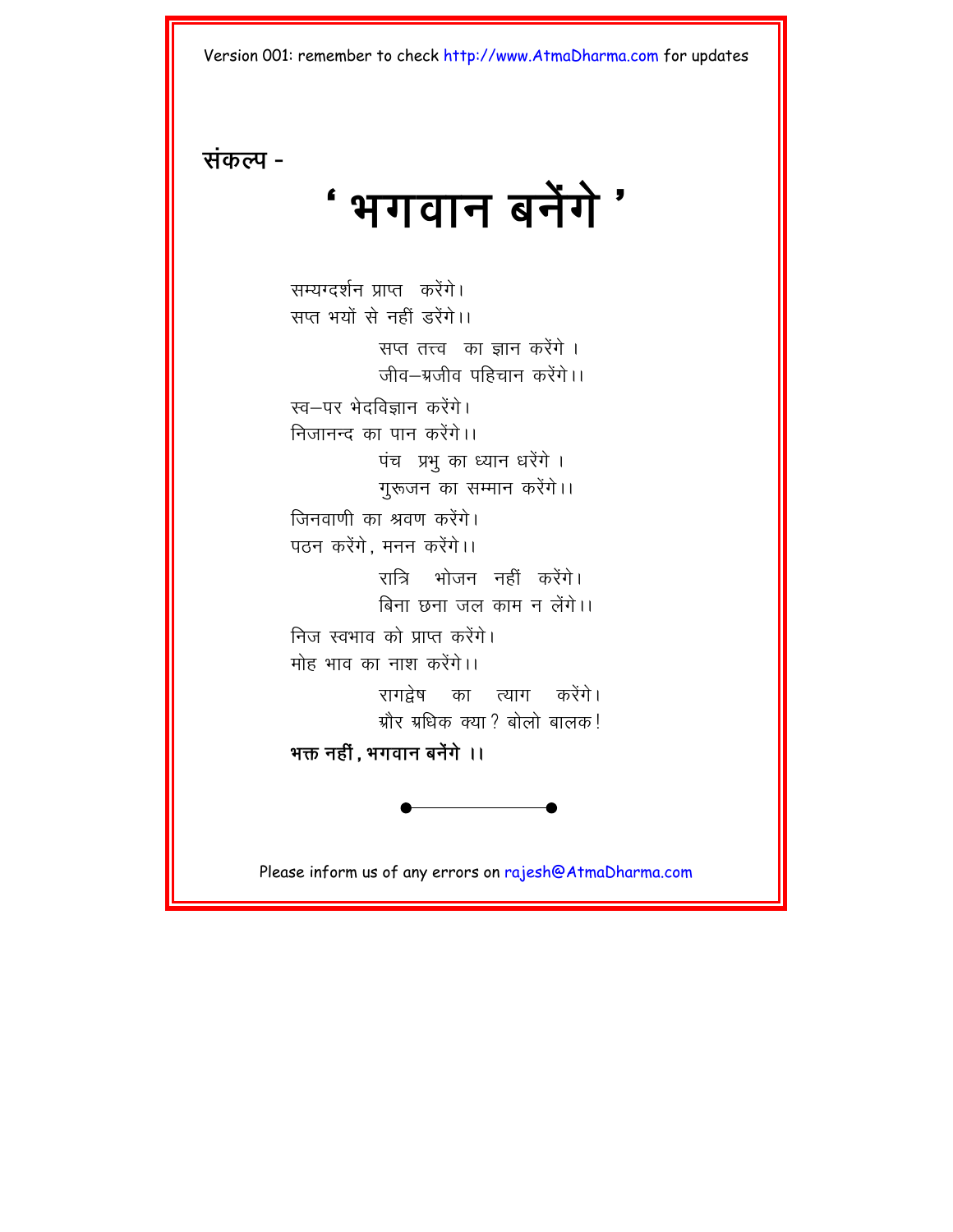<sup>'</sup> भगवान बनेंगे '

**संकल्प** -

सम्यग्दर्शन प्राप्त करेंगे। सप्त भयों से नहीं डरेंगे।। सप्त तत्त्व का ज्ञान करेंगे । जीव–ग्रजीव पहिचान करेंगे।। स्व—पर भेदविज्ञान करेंगे। निजानन्द का पान करेंगे।। पंच प्रभू का ध्यान धरेंगे । गुरूजन का सम्मान करेंगे।। <u>जिनवाणी का श्रवण करेंगे।</u> पठन करेंगे. मनन करेंगे।। रात्रि भोजन नहीं करेंगे। बिना छना जल काम न लेंगे।। निज स्वभाव को प्राप्त करेंगे। मोह भाव का नाश करेंगे।। रागद्रेष का त्याग करेंगे। ग्रौर ग्रधिक क्या $\,$  बोलो बालक  $\,$ भक्त नहीं, भगवान बनेंगे ।।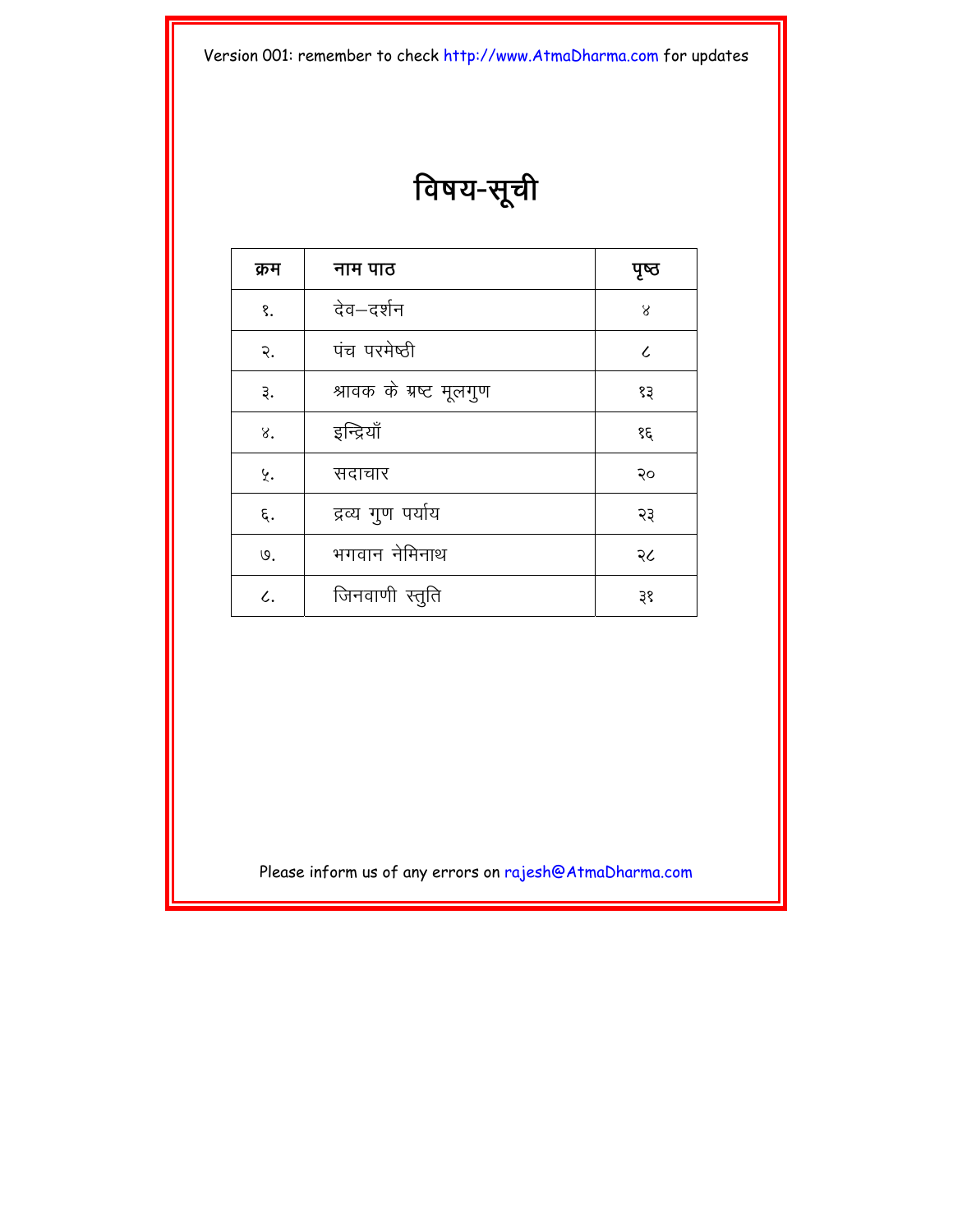विषय-सूची

| क्रम | नाम पाठ                 | पृष्ठ      |
|------|-------------------------|------------|
| १.   | देव–दर्शन               | 8          |
| २.   | पंच परमेष्ठी            | $\epsilon$ |
| ३.   | श्रावक के ग्रष्ट मूलगुण | १३         |
| 8.   | इन्द्रियाँ              | १६         |
| ५.   | सदाचार                  | २०         |
| ६.   | द्रव्य गुण पर्याय       | २३         |
| ७.   | भगवान नेमिनाथ           | २८         |
| L.   | जिनवाणी स्तुति          | ३१         |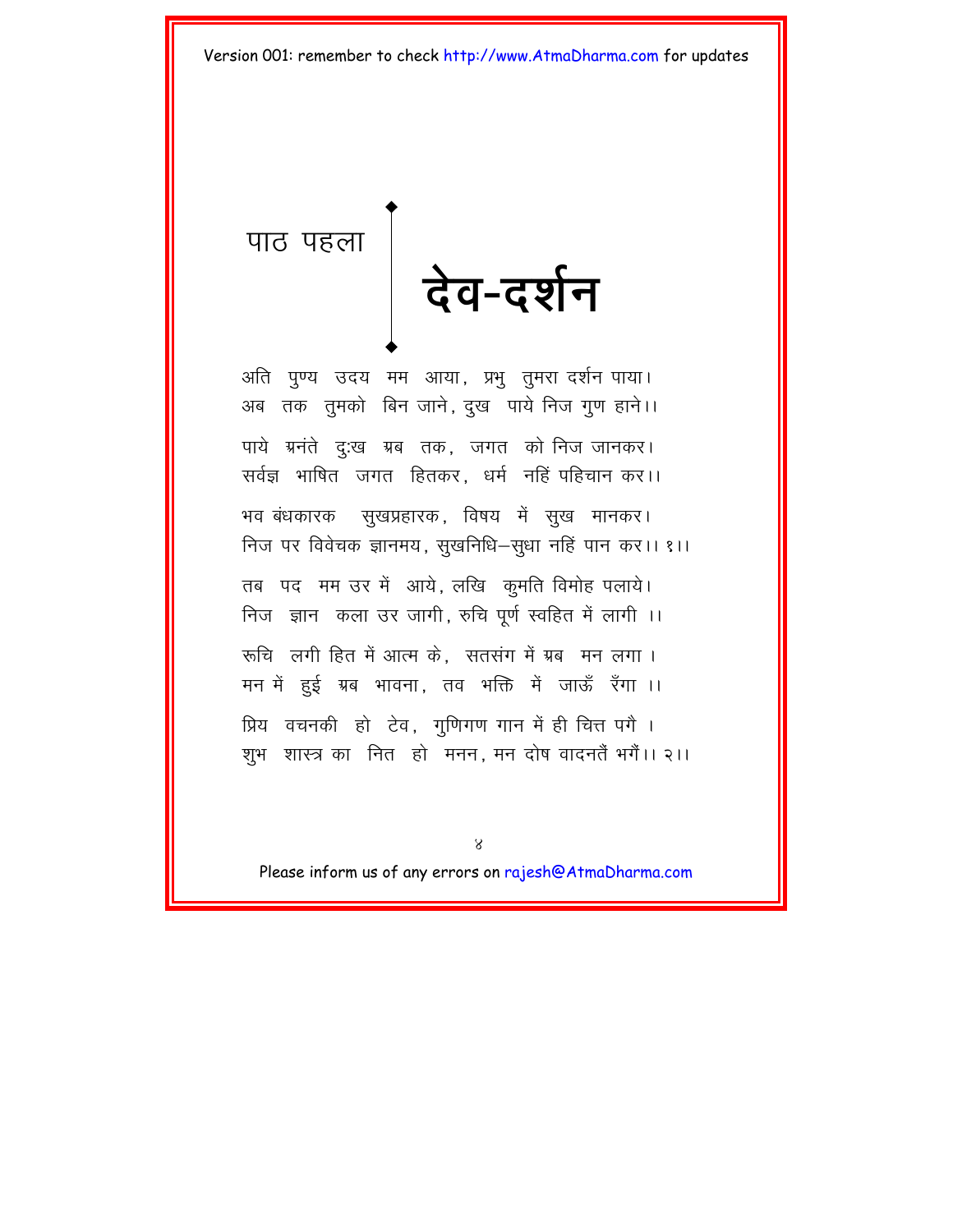<span id="page-6-0"></span>पाठ पहला देव-दर्शन

अति पुण्य उदय मम आया, प्रभु तुमरा दर्शन पाया। अब तक तुमको बिन जाने, दुख पाये निज गुण हाने।। पाये ग्रनंते दु:ख ग्रब तक, जगत को निज जानकर। सर्वज्ञ भाषित जगत हितकर, धर्म नहिं पहिचान कर।। भव बंधकारक सुखप्रहारक, विषय में सूख मानकर। निज पर विवेचक ज्ञानमय, सुखनिधि–सुधा नहिं पान कर।। १।। तब पद मम उर में आये, लखि कुमति विमोह पलाये। निज ज्ञान कला उर जागी, रुचि पूर्ण स्वहित में लागी ।। रूचि लगी हित में आत्म के. सतसंग में ग्रब मन लगा। मन में हुई ग्रब भावना, तव भक्ति में जाऊँ रँगा ।। प्रिय वचनकी हो टेव, गुणिगण गान में ही चित्त पगै । शूभ शास्त्र का नित हो मनन, मन दोष वादनतैं भगैं।। २।।

 $8^{\circ}$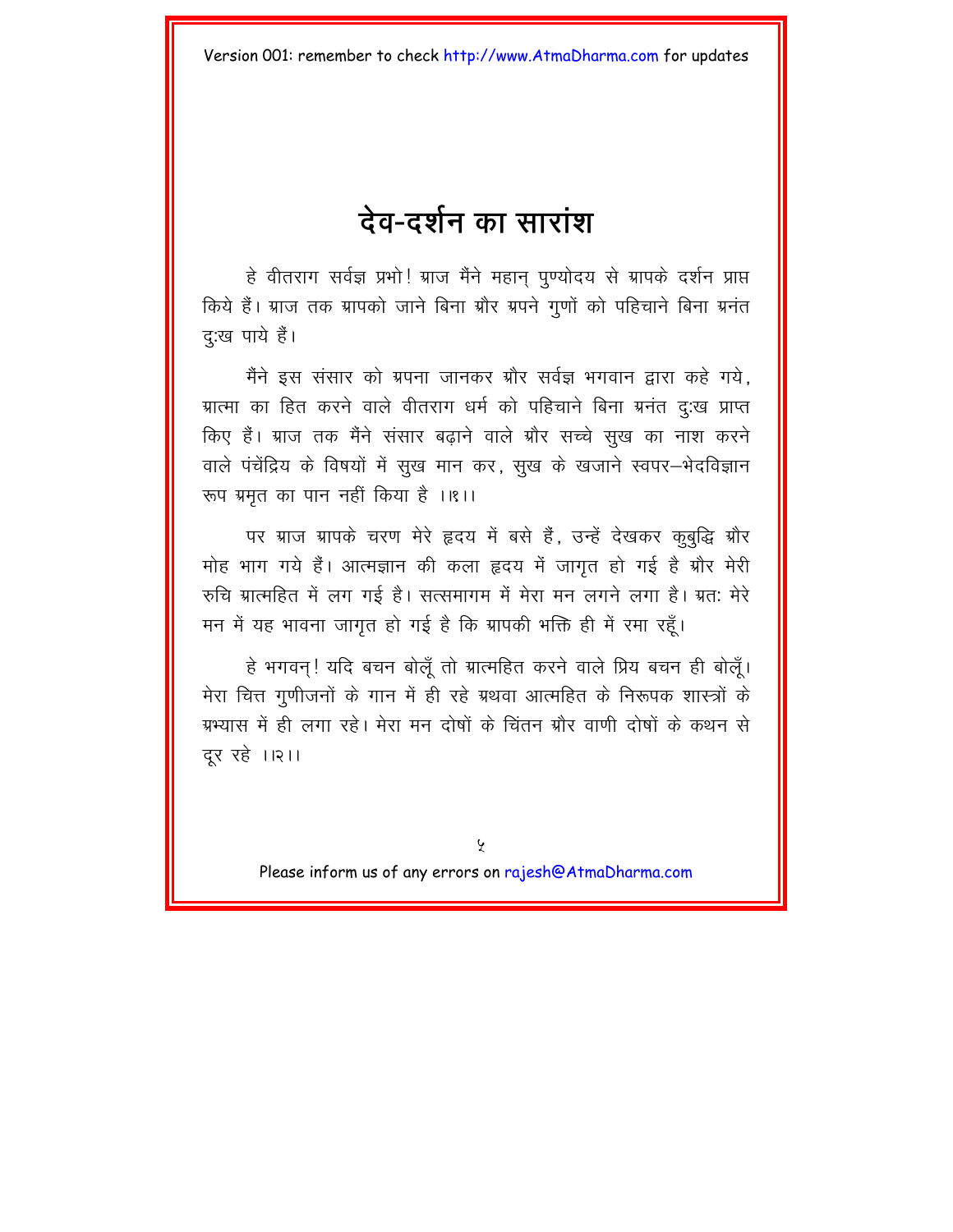# देव-दर्शन का सारांश

हे वीतराग सर्वज्ञ प्रभो! ग्राज मैंने महान् पुण्योदय से ग्रापके दर्शन प्राप्त किये हैं। ग्राज तक ग्रापको जाने बिना ग्रौर ग्रपने गुणों को पहिचाने बिना ग्रनंत दु:ख पाये हैं।

मैंने इस संसार को ग्रपना जानकर ग्रौर सर्वज्ञ भगवान द्वारा कहे गये. ग्रात्मा का हित करने वाले वीतराग धर्म को पहिचाने बिना ग्रनंत दु:ख प्राप्त किए हैं। ग्राज तक मैंने संसार बढाने वाले ग्रौर सच्चे सुख का नाश करने वाले पंचेंद्रिय के विषयों में सुख मान कर, सुख के खजाने स्वपर–भेदविज्ञान रूप ग्रमृत का पान नहीं किया है ।।१।।

पर ग्राज ग्रापके चरण मेरे हृदय में बसे हैं. उन्हें देखकर कुबुद्धि ग्रौर मोह भाग गये हैं। आत्मज्ञान की कला हृदय में जागत हो गई है ग्रौर मेरी रुचि ग्रात्महित में लग गई है। सत्समागम में मेरा मन लगने लगा है। ग्रत: मेरे मन में यह भावना जागृत हो गई है कि ग्रापकी भक्ति ही में रमा रहँ।

हे भगवन! यदि बचन बोलूँ तो ग्रात्महित करने वाले प्रिय बचन ही बोलूँ। मेरा चित्त गुणीजनों के गान में ही रहे ग्रथवा आत्महित के निरूपक शास्त्रों के ग्रभ्यास में ही लगा रहे। मेरा मन दोषों के चिंतन ग्रौर वाणी दोषों के कथन से दूर रहे ।।२।।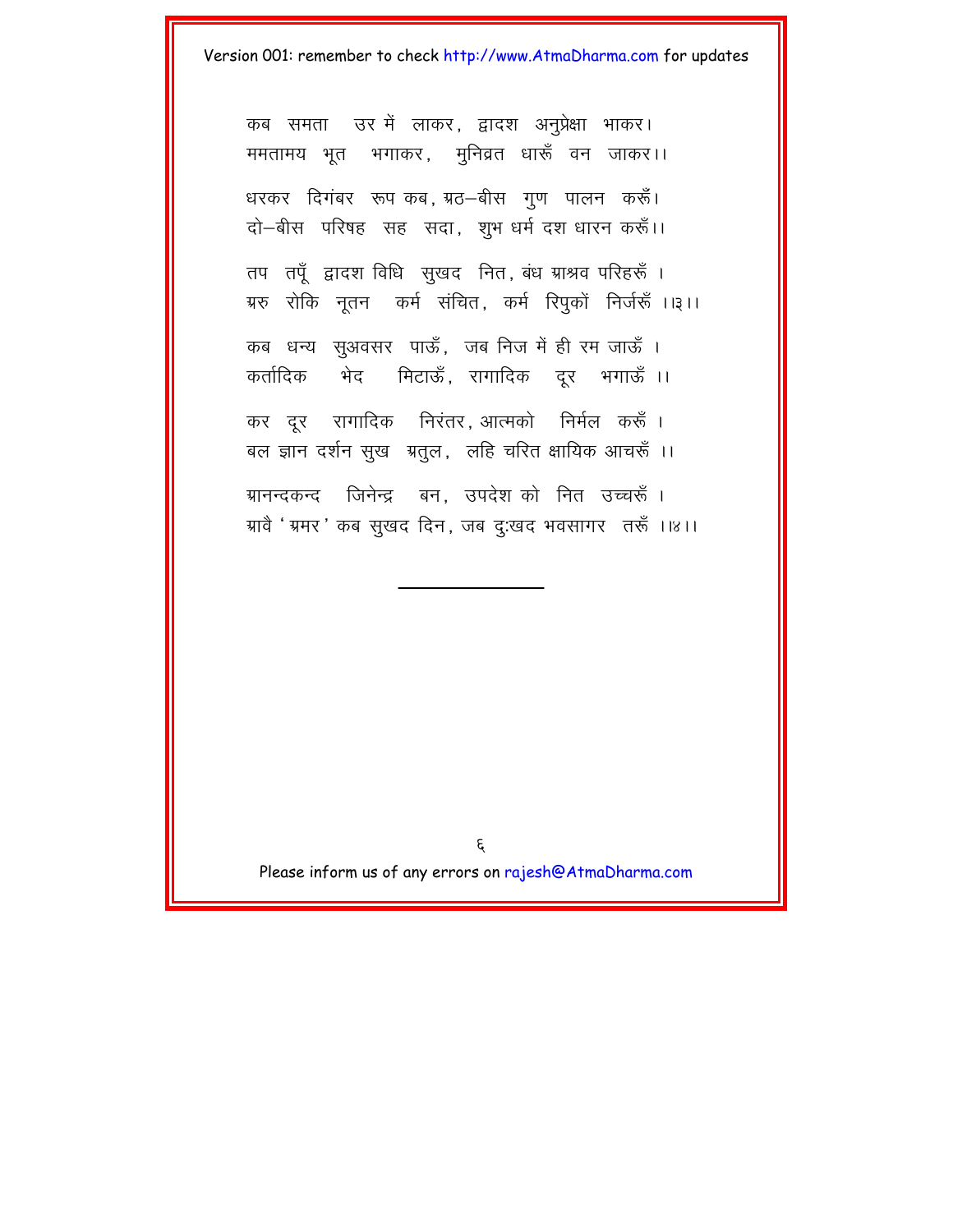कब समता उर में लाकर, द्वादश अनप्रेक्षा भाकर। ममतामय भूत भगाकर, मुनिव्रत धारूँ वन जाकर।। धरकर दिगंबर रूप कब, ग्रठ–बीस गुण पालन करूँ। दो-बीस परिषह सह सदा, शुभ धर्म दश धारन करूँ।। तप तपूँ द्वादश विधि सुखद नित, बंध ग्राश्रव परिहरूँ । ग्ररु रोकि नूतन कर्म संचित, कर्म रिपुकों निर्जरूँ ।।३।। कब धन्य सुअवसर पाऊँ, जब निज में ही रम जाऊँ । कर्तादिक भेद मिटाऊँ, रागादिक दुर भगाऊँ ।। कर दूर रागादिक निरंतर आत्मको निर्मल करूँ। बल ज्ञान दर्शन सूख ग्रतूल, लहि चरित क्षायिक आचरूँ ।। ग्रानन्दकन्द जिनेन्द्र बन उपदेशको नित उच्चरूँ । ग्रावै ' ग्रमर ' कब सुखद दिन, जब दु:खद भवसागर लरूँ ।।४।।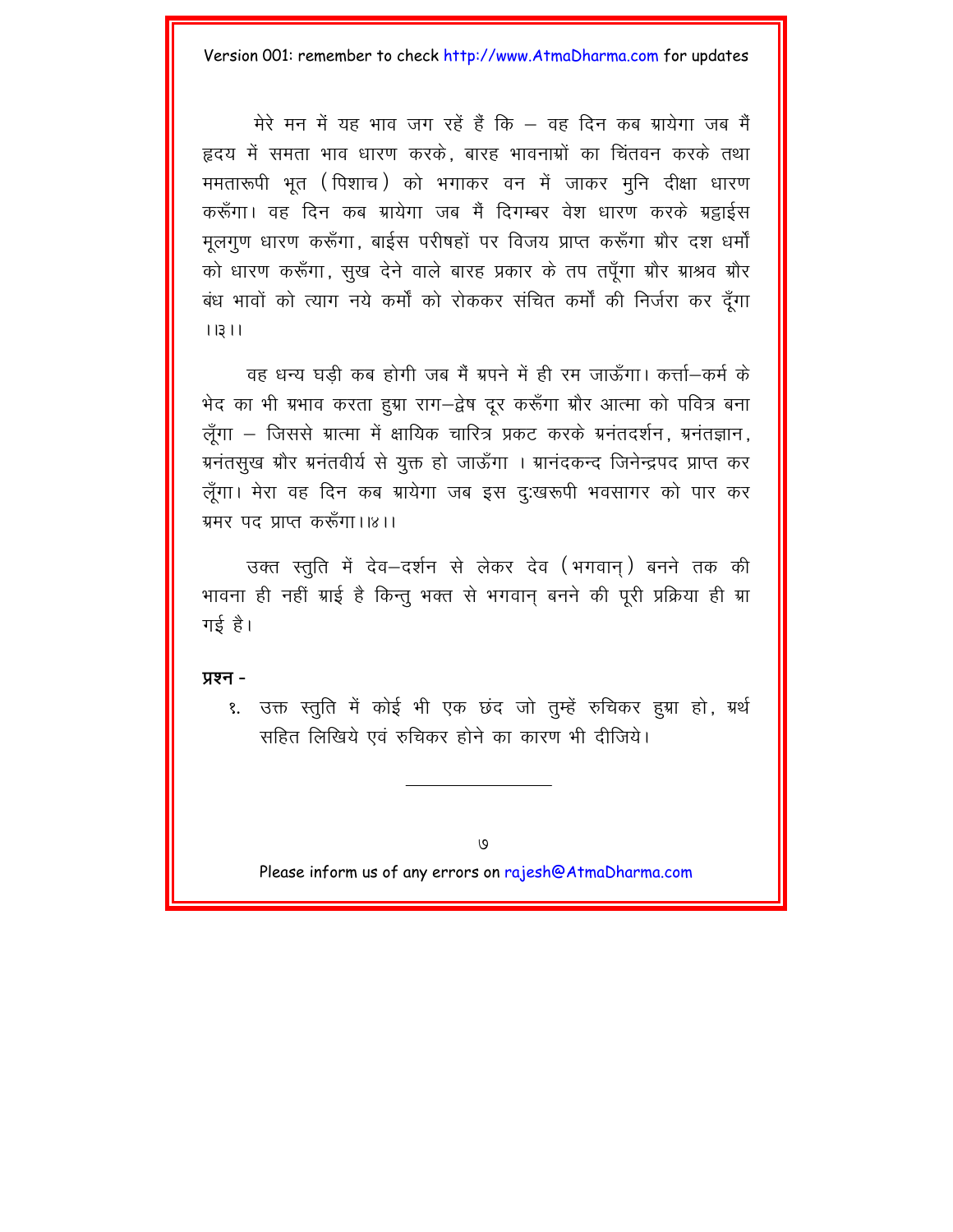मेरे मन में यह भाव जग रहें हैं कि – वह दिन कब ग्रायेगा जब मैं हृदय में समता भाव धारण करके. बारह भावनाओं का चिंतवन करके तथा ममतारूपी भूत (पिशाच) को भगाकर वन में जाकर मूनि दीक्षा धारण करूँगा। वह दिन कब ग्रायेगा जब मैं दिगम्बर वेश धारण करके ग्रहाईस मुलगुण धारण करूँगा, बाईस परीषहों पर विजय प्राप्त करूँगा ग्रौर दश धर्मों को धारण करूँगा, सुख देने वाले बारह प्रकार के तप तपँगा ग्रौर ग्राश्रव ग्रौर बंध भावों को त्याग नये कर्मों को रोककर संचित कर्मों की निर्जरा कर दूँगा  $11311$ 

वह धन्य घड़ी कब होगी जब मैं ग्रपने में ही रम जाऊँगा। कर्त्ता-कर्म के भेद का भी ग्रभाव करता हुग्रा राग-द्वेष दर करूँगा ग्रौर आत्मा को पवित्र बना लूँगा – जिससे ग्रात्मा में क्षायिक चारित्र प्रकट करके ग्रनंतदर्शन, ग्रनंतज्ञान, ग्रनंतसुख ग्रौर ग्रनंतवीर्य से युक्त हो जाऊँगा । ग्रानंदकन्द जिनेन्द्रपद प्राप्त कर लूँगा। मेरा वह दिन कब ग्रायेगा जब इस दु:खरूपी भवसागर को पार कर ग्रमर पद प्राप्त करूँगा।।४।।

उक्त स्तति में देव–दर्शन से लेकर देव (भगवान) बनने तक की भावना ही नहीं ग्राई है किन्तु भक्त से भगवान बनने की पूरी प्रक्रिया ही ग्रा गई $\hat{g}$ ।

**y**xन -

१. उक्त स्तुति में कोई भी एक छंद जो तुम्हें रुचिकर हुग्रा हो, ग्रर्थ सहित लिखिये एवं रुचिकर होने का कारण भी दीजिये।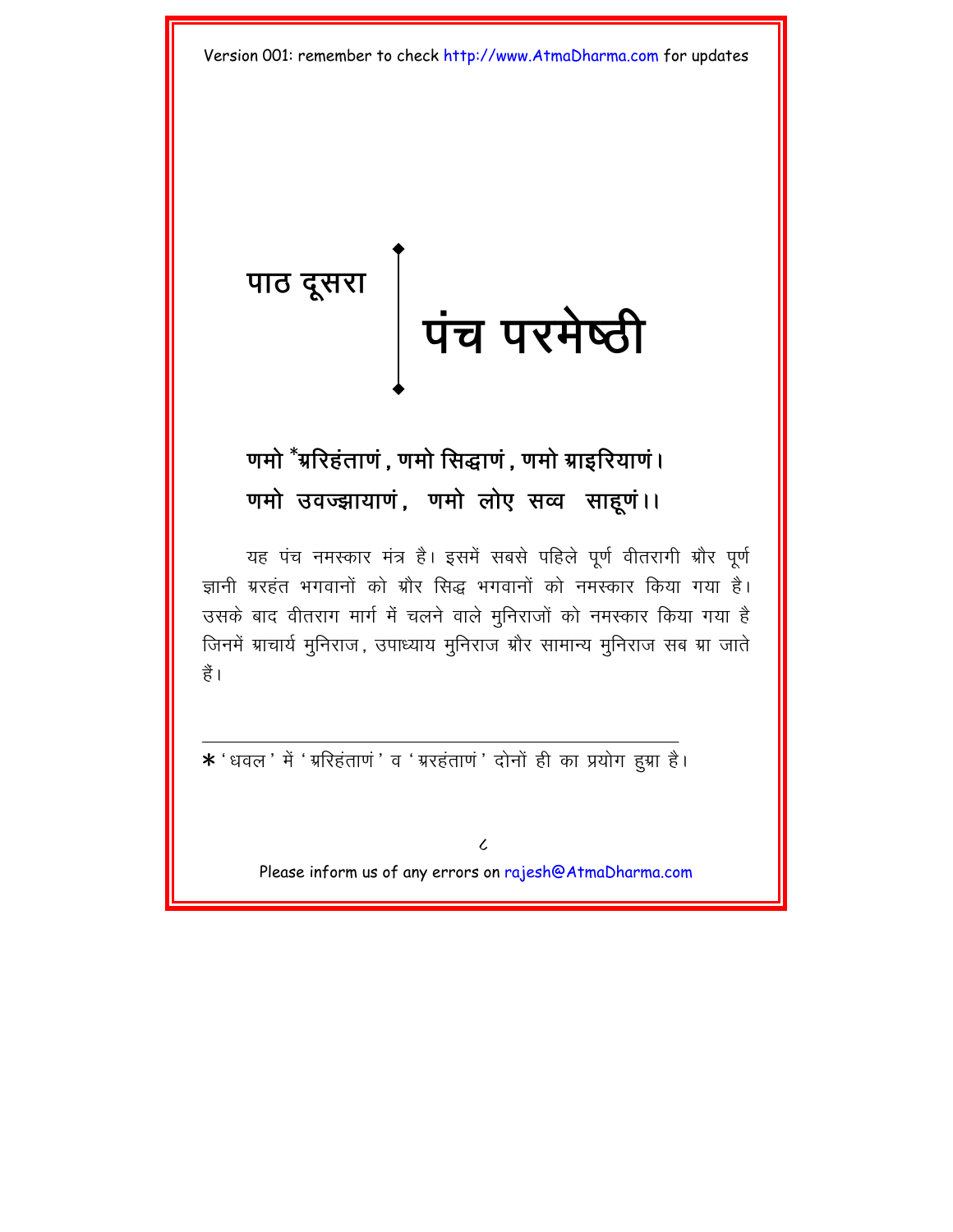<span id="page-10-0"></span>पाठ दूसरा<br> पंच परमेष्ठी

# णमो <sup>\*</sup>ग्ररिहंताणं , णमो सिद्धाणं , णमो ग्राइरियाणं । णमो उवज्झायाणं, णमो लोए सव्व साहूणं।।

यह पंच नमस्कार मंत्र है। इसमें सबसे पहिले पूर्ण वीतरागी ग्रौर पूर्ण ज्ञानी ग्ररहंत भगवानों को ग्रौर सिद्ध भगवानों को नमस्कार किया गया है। उसके बाद वीतराग मार्ग में चलने वाले मुनिराजों को नमस्कार किया गया है जिनमें ग्राचार्य मुनिराज, उपाध्याय मुनिराज ग्रौर सामान्य मुनिराज सब ग्रा जाते हैं।

\* 'धवल' में ' ग्ररिहंताणं ' व ' ग्ररहंताणं ' दोनों ही का प्रयोग हुग्रा है।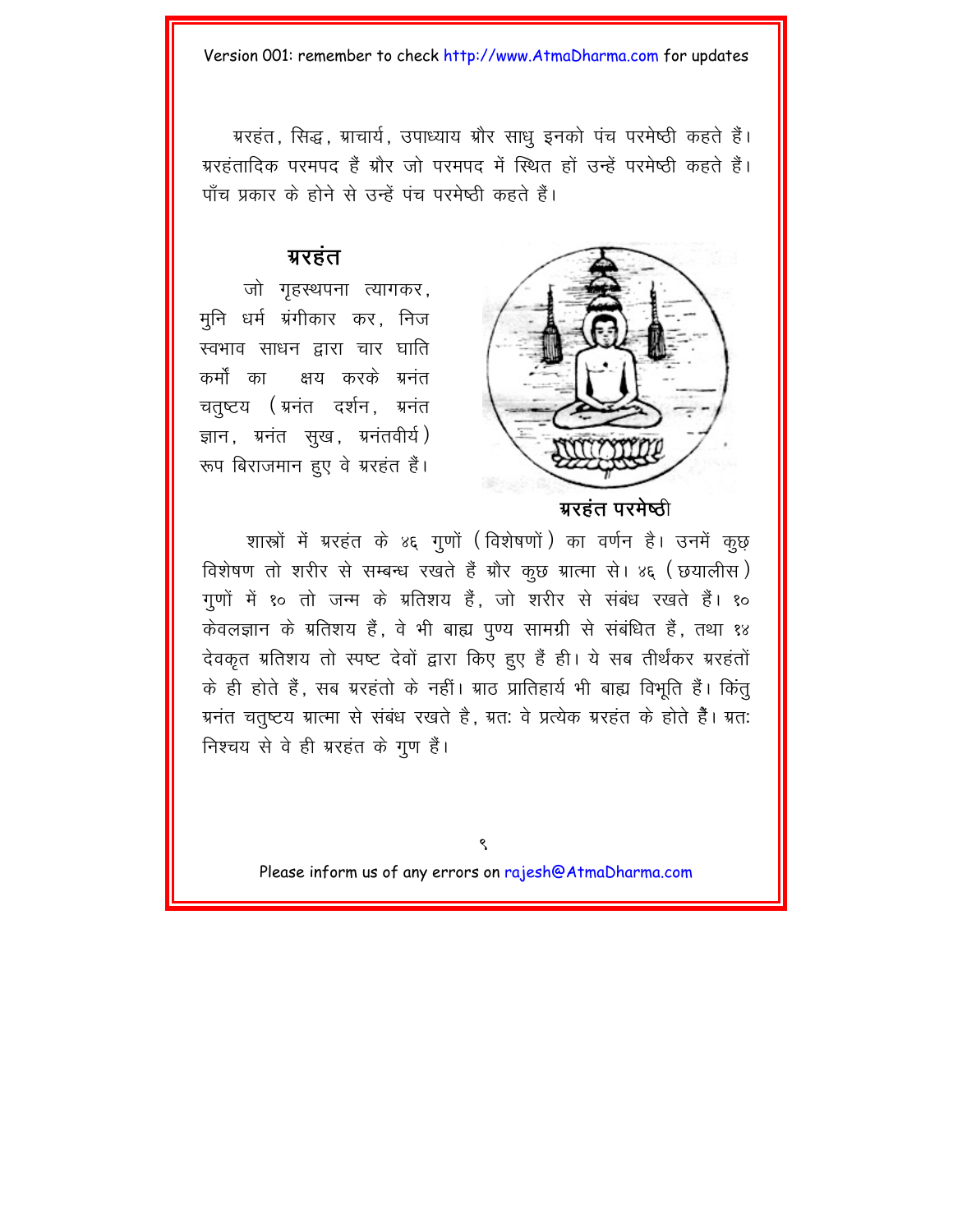ग्ररहंत, सिद्ध, ग्राचार्य, उपाध्याय ग्रौर साधू इनको पंच परमेष्ठी कहते हैं। ग्ररहंतादिक परमपद हैं ग्रौर जो परमपद में स्थित हों उन्हें परमेष्ठी कहते हैं। पाँच प्रकार के होने से उन्हें पंच परमेष्ठी कहते हैं।

### ग्ररहंत

जो गृहस्थपना त्यागकर, मुनि धर्म ग्रंगीकार कर, निज स्वभाव साधन द्वारा चार घाति कर्मों का क्षय करके ग्रनंत चतुष्टय (ग्रनंत दर्शन, ग्रनंत ज्ञान, ग्रनंत सूख, ग्रनंतवीर्य) रूप बिराजमान हुए वे ग्ररहंत हैं।



ग्ररहंत परमेष्ठी

शास्त्रों में ग्ररहंत के ४६ गुणों (विशेषणों) का वर्णन है। उनमें कूछ विशेषण तो शरीर से सम्बन्ध रखते हैं ग्रौर कूछ ग्रात्मा से। ४६ (छयालीस) गुणों में १० तो जन्म के ग्रतिशय हैं, जो शरीर से संबंध रखते हैं। १० केवलज्ञान के ग्रतिशय हैं, वे भी बाह्य पुण्य सामग्री से संबंधित हैं, तथा १४ देवकृत ग्रतिशय तो स्पष्ट देवों द्वारा किए हुए हैं ही। ये सब तीर्थंकर ग्ररहंतों के ही होते हैं, सब ग्ररहंतो के नहीं। ग्राठ प्रातिहार्य भी बाह्य विभूति हैं। किंतू ग्रनंत चतुष्टय ग्रात्मा से संबंध रखते है, ग्रतः वे प्रत्येक ग्ररहंत के होते हैं। ग्रतः निश्चय से वे ही ग्ररहंत के गुण हैं।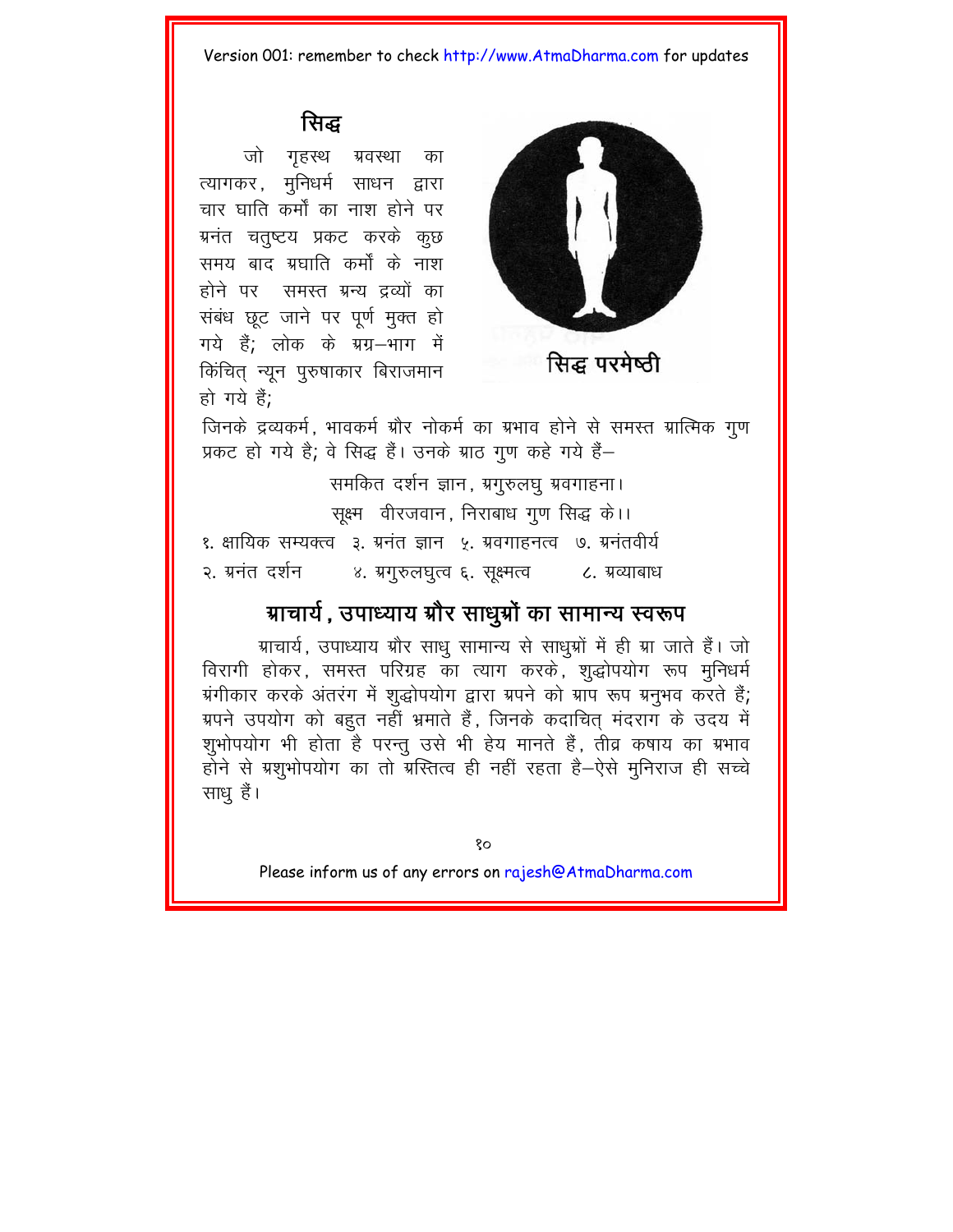### सिद्ध

जो गृहस्थ ग्रवस्था का त्यागकर, मुनिधर्म साधन द्वारा चार घाति कर्मों का नाश होने पर ग्रनंत चतुष्टय प्रकट करके कुछ समय बाद ग्रघाति कर्मों के नाश होने पर समस्त ग्रन्य द्रव्यों का संबंध छूट जाने पर पूर्ण मुक्त हो गये हैं; लोक के ग्रग्न-भाग में किंचित् न्यून पुरुषाकार बिराजमान हो गये हैं;



सिद्ध परमेष्ठी

जिनके द्रव्यकर्म, भावकर्म ग्रौर नोकर्म का ग्रभाव होने से समस्त ग्रात्मिक गुण प्रकट हो गये है; वे सिद्ध हैं। उनके ग्राठ गूण कहे गये हैं-

समकित दर्शन ज्ञान, ग्रगुरुलघु ग्रवगाहना। सक्ष्म वीरजवान, निराबाध गुण सिद्ध के।। १. क्षायिक सम्यक्त्व ३. ग्रनंत ज्ञान ५. ग्रवगाहनत्व ७. ग्रनंतवीर्य २. ग्रनंत दर्शन ४. ग्रगुरुलघुत्व ६. सूक्ष्मत्व ८. ग्रव्याबाध

# ग्राचार्य, उपाध्याय ग्रौर साधुग्रौं का सामान्य स्वरूप

ग्राचार्य, उपाध्याय ग्रौर साधु सामान्य से साधुग्रों में ही ग्रा जाते हैं। जो विरागी होकर, समस्त परिग्रह का त्याग करके, शुद्धोपयोग रूप मुनिधर्म ग्रंगीकार करके अंतरंग में शुद्धोपयोग द्वारा ग्रपने को ग्राप रूप ग्रनुभव करते हैं; ग्रपने उपयोग को बहुत नहीं भ्रमाते हैं, जिनके कदाचित् मंदराग के उदय में शूभोपयोग भी होता है परन्तू उसे भी हेय मानते हैं, तीव्र कषाय का ग्रभाव होने से ग्रशुभोपयोग का तो ग्रस्तित्व ही नहीं रहता है–ऐसे मुनिराज ही सच्चे साधू हैं।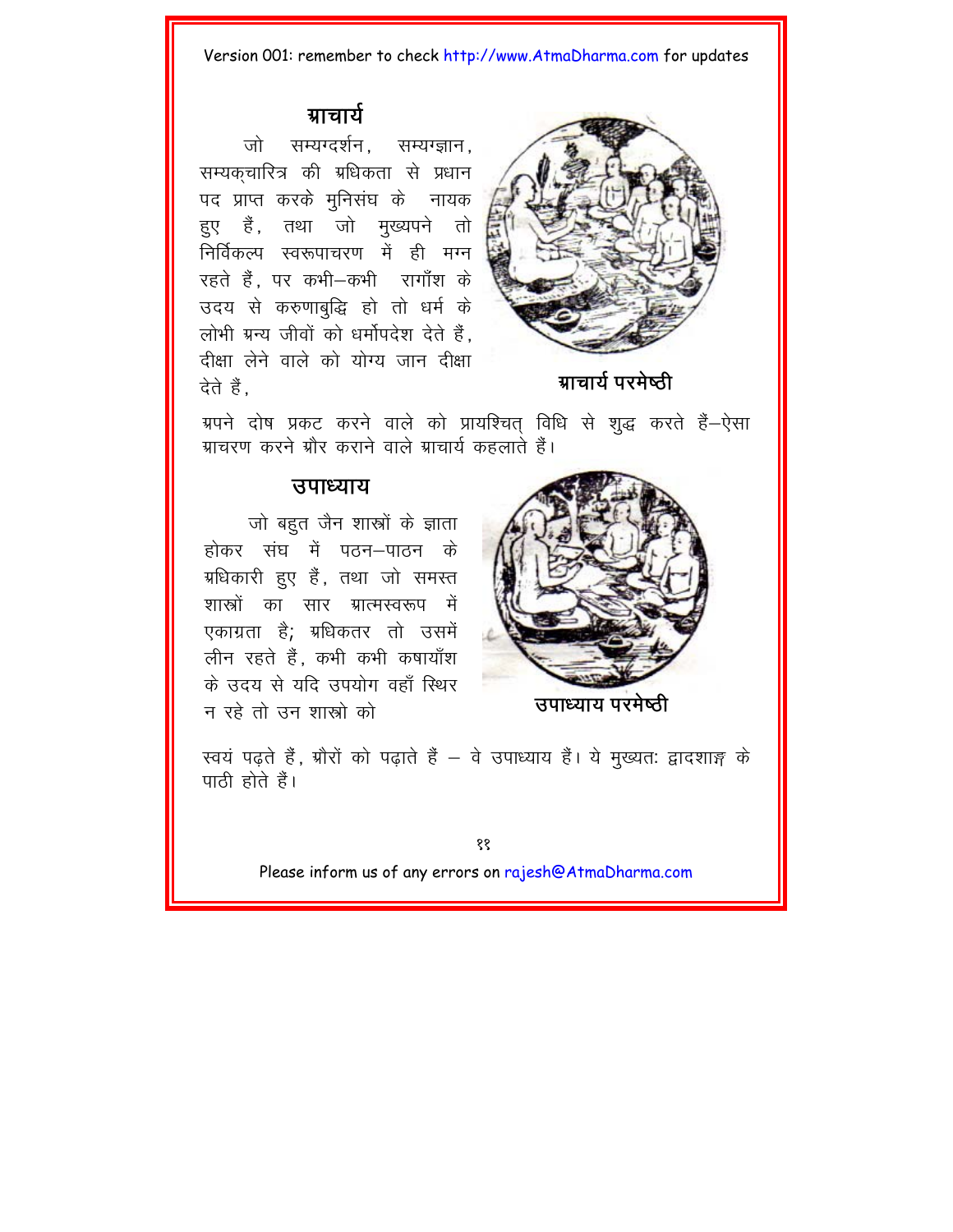### ग्राचार्य

जो सम्यग्दर्शन. सम्यग्ज्ञान. सम्यकुचारित्र की म्रधिकता से प्रधान पद प्राप्त करके मुनिसंघ के नायक हुए हैं, तथा जो मुख्यपने तो निर्विकल्प स्वरूपाचरण में ही मग्न रहते हैं. पर कभी–कभी रागाँश के उदय से करुणाबुद्धि हो तो धर्म के लोभी ग्रन्य जीवों को धर्मोपदेश देते हैं. दीक्षा लेने वाले को योग्य जान दीक्षा देते हैं



ग्राचार्य परमेष्ठी

ग्रपने दोष प्रकट करने वाले को प्रायश्चित विधि से शुद्ध करते हैं-ऐसा .<br>ग्राचरण करने ग्रौर कराने वाले ग्राचार्य कहलाते हैं।

### त्तपाध्याय

जो बहुत जैन शास्त्रों के ज्ञाता होकर संघ में पतन—पातन के ग्रधिकारी हुए हैं, तथा जो समस्त शास्त्रों का सार ग्रात्मस्वरूप में एकाग्रता है; ग्रधिकतर तो उसमें लीन रहते हैं, कभी कभी कषायाँश के सदय से यदि सपयोग वहाँ स्थिर न रहे तो उन शास्त्रो को



उपाध्याय परमेष्ठी

स्वयं पढ़ते हैं, ग्रौरों को पढ़ाते हैं – वे उपाध्याय हैं। ये मुख्यत: द्वादशाङ्ग के पाठी होते हैं।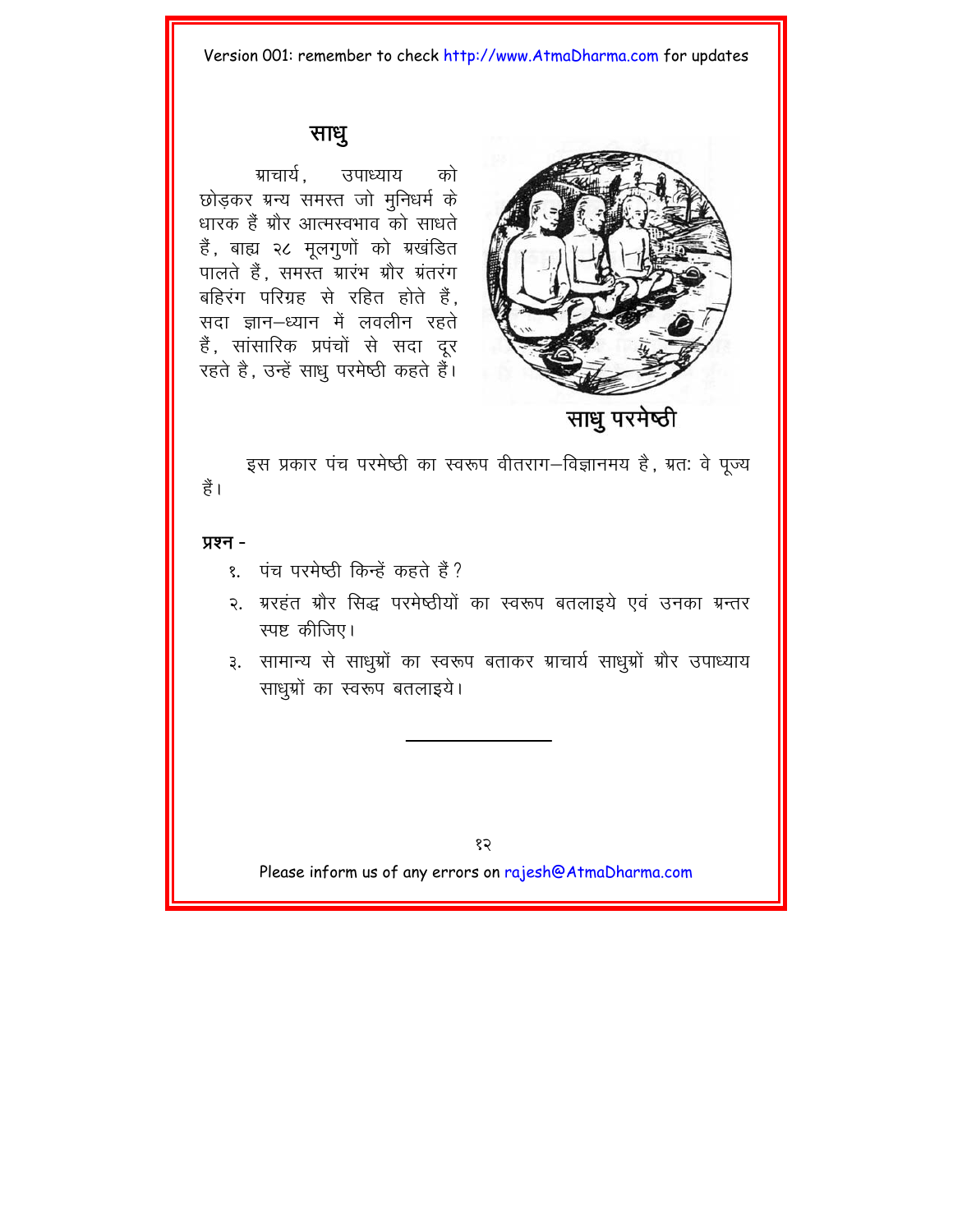### साधू

ग्राचार्य उपाध्याय को छोडकर ग्रन्य समस्त जो मुनिधर्म के धारक हैं ग्रौर आत्मस्वभाव को साधते हैं, बाह्य २८ मूलगुणों को ग्रखंडित पालते हैं. समस्त ग्रारंभ ग्रौर ग्रंतरंग बहिरंग परिग्रह से रहित होते हैं. सदा ज्ञान-ध्यान में लवलीन रहते हैं, सांसारिक प्रपंचों से सदा दूर रहते है, उन्हें साधु परमेष्ठी कहते हैं।



साध परमेष्ठी

इस प्रकार पंच परमेष्ठी का स्वरूप वीतराग–विज्ञानमय है, ग्रतः वे पूज्य हैं।

### प्रश्न -

- ९. पंच परमेष्ठी किन्हें कहते हैं?
- २. ग्ररहंत ग्रौर सिद्ध परमेष्ठीयों का स्वरूप बतलाइये एवं उनका ग्रन्तर स्पष्ट कीजिए।
- ३. सामान्य से साधुग्रों का स्वरूप बताकर ग्राचार्य साधुग्रों ग्रौर उपाध्याय साधुग्रों का स्वरूप बतलाइये।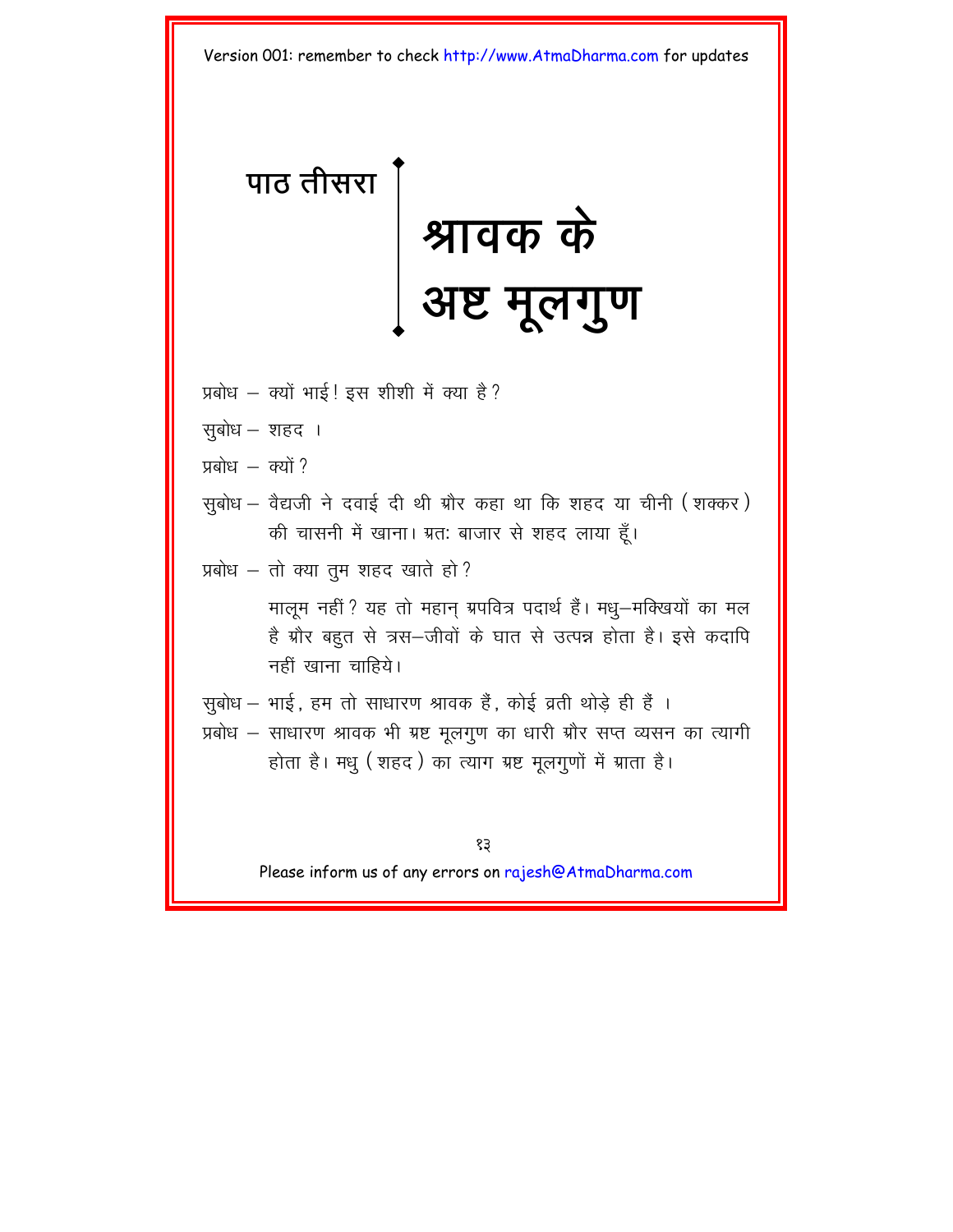# <span id="page-15-0"></span>**पाठ तीसरा**

# श्रावक के अष्ट मूलगुण

- प्रबोध क्यों भाई ! इस शीशी में क्या है ?
- सूबोध $-$ शहद।
- $\frac{1}{2}$  valued  $\frac{1}{2}$
- सूबोध वैद्यजी ने दवाई दी थी ग्रौर कहा था कि शहद या चीनी (शक्कर) की चासनी में खाना। ग्रत: बाजार से शहद लाया हूँ।
- प्रबोध तो क्या तुम शहद खाते हो?

मालूम नहीं ? यह तो महान् ग्रपवित्र पदार्थ हैं। मधु-मक्खियों का मल है ग्रौर बहुत से त्रस-जीवों के घात से उत्पन्न होता है। इसे कदापि नहीं खाना चाहिये।

सुबोध – भाई, हम तो साधारण श्रावक हैं, कोई व्रती थोड़े ही हैं। प्रबोध – साधारण श्रावक भी ग्रष्ट मुलगुण का धारी ग्रौर सप्त व्यसन का त्यागी होता है। मधु (शहद) का त्याग ग्रष्ट मुलगुणों में ग्राता है।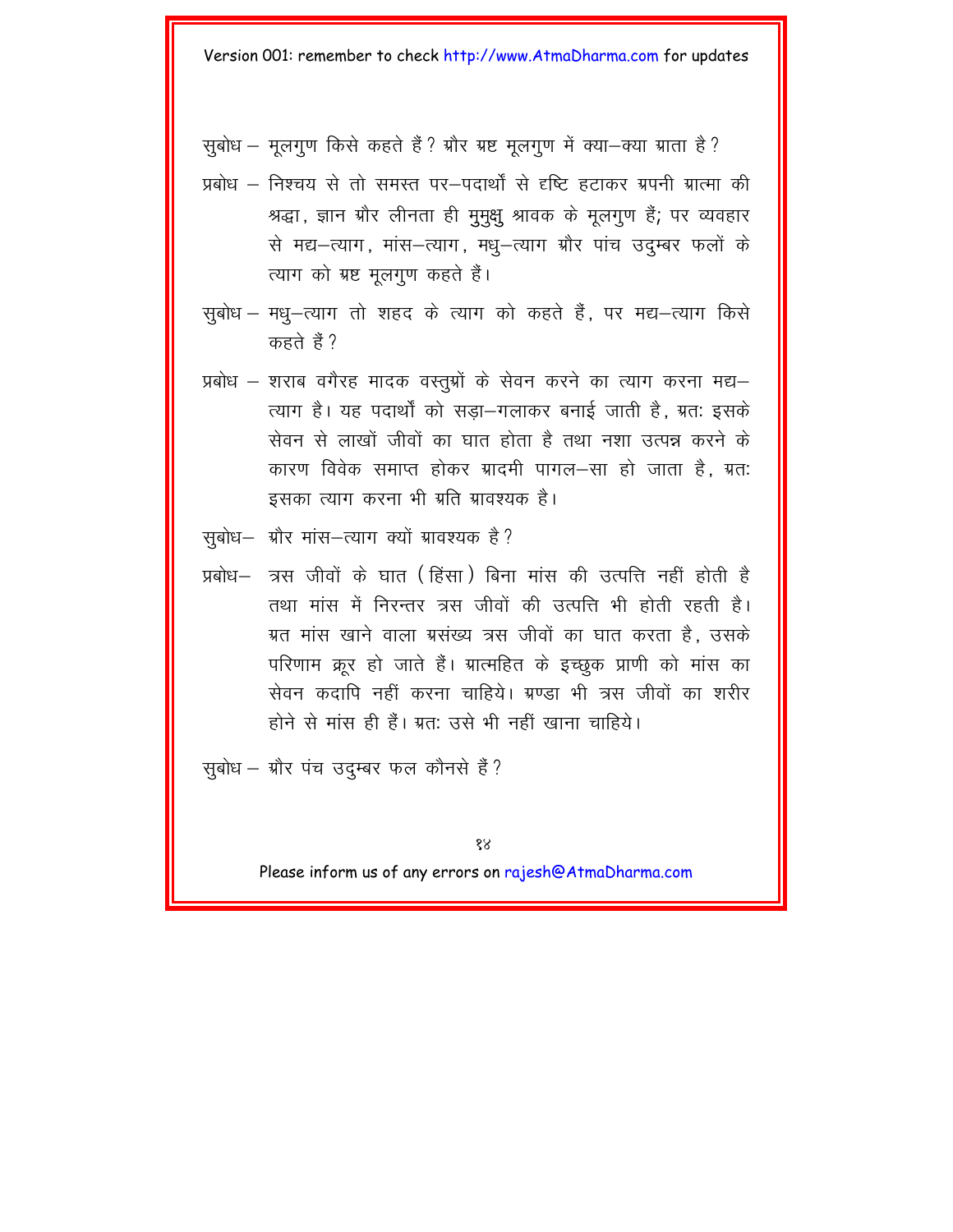सुबोध - मुलगुण किसे कहते हैं ? ग्रौर ग्रष्ट मुलगुण में क्या-क्या ग्राता है ?

- प्रबोध निश्चय से तो समस्त पर–पदार्थों से दृष्टि हटाकर ग्रपनी ग्रात्मा की श्रद्धा, ज्ञान ग्रौर लीनता ही मुमुक्षु श्रावक के मूलगुण हैं; पर व्यवहार से मद्य-त्याग, मांस-त्याग, मध्-त्याग ग्रौर पांच उदुम्बर फलों के त्याग को ग्रष्ट मूलगूण कहते हैं।
- सुबोध मधु-त्याग तो शहद के त्याग को कहते हैं, पर मद्य-त्याग किसे कहते हैं ?
- प्रबोध शराब वगैरह मादक वस्तुग्रों के सेवन करने का त्याग करना मद्य– त्याग है। यह पदार्थों को सड़ा-गलाकर बनाई जाती है, ग्रत: इसके सेवन से लाखों जीवों का घात होता है तथा नशा उत्पन्न करने के कारण विवेक समाप्त होकर ग्रादमी पागल-सा हो जाता है. ग्रत: इसका त्याग करना भी ग्रति ग्रावश्यक है।
- सुबोध– ग्रौर मांस–त्याग क्यों ग्रावश्यक है ?
- प्रबोध– त्रस जीवों के घात (हिंसा) बिना मांस की उत्पत्ति नहीं होती है तथा मांस में निरन्तर त्रस जीवों की उत्पत्ति भी होती रहती है। ग्रत मांस खाने वाला ग्रसंख्य त्रस जीवों का घात करता है. उसके परिणाम क्रर हो जाते हैं। ग्रात्महित के इच्छक प्राणी को मांस का सेवन कदापि नहीं करना चाहिये। ग्रण्डा भी त्रस जीवों का शरीर होने से मांस ही हैं। ग्रत: उसे भी नहीं खाना चाहिये।
- सूबोध ग्रौर पंच उद्म्बर फल कौनसे हैं?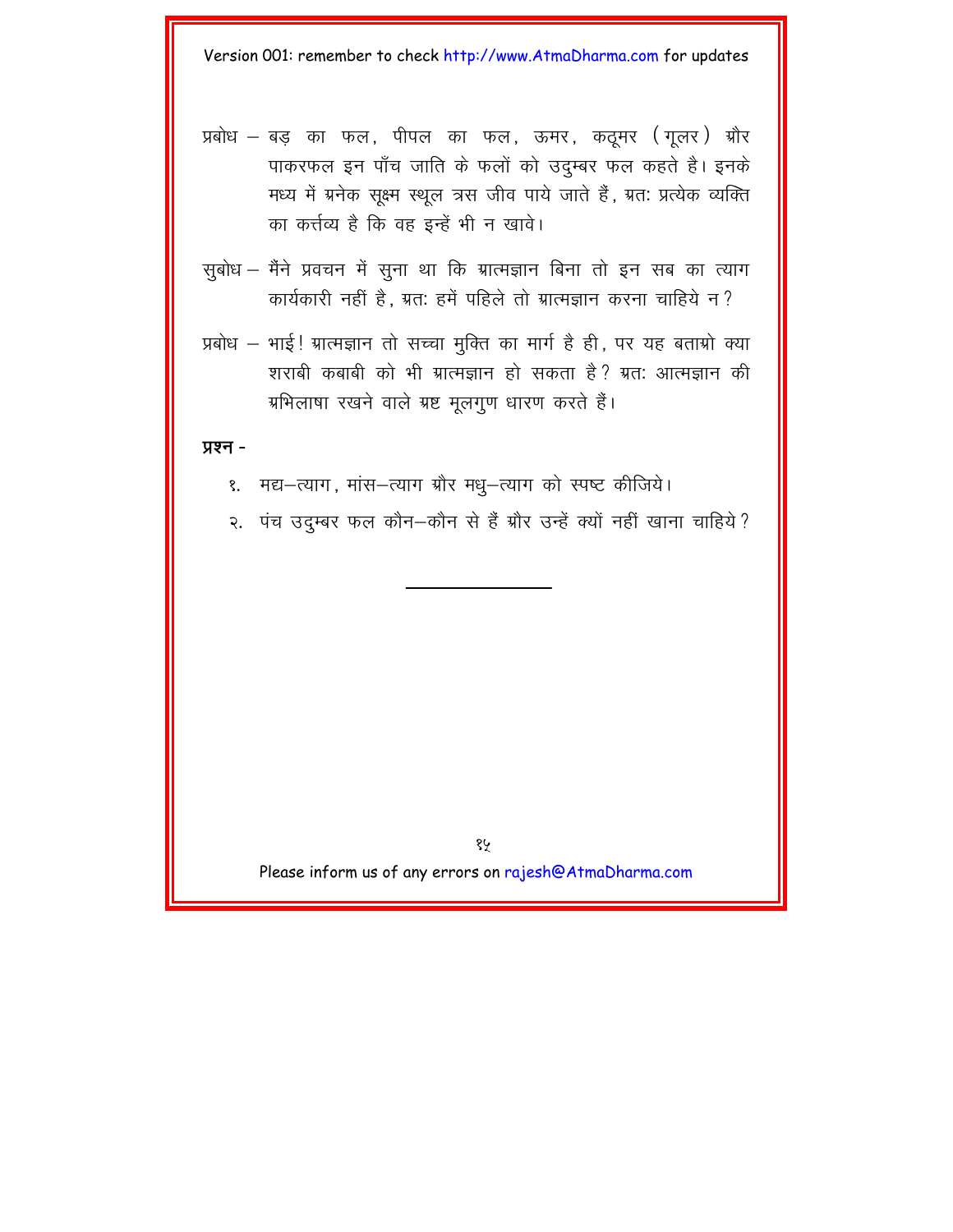- प्रबोध बड़ का फल, पीपल का फल, ऊमर, कठूमर (गूलर) ग्रौर पाकरफल इन पाँच जाति के फलों को उदम्बर फल कहते है। इनके मध्य में ग्रनेक सुक्ष्म स्थल त्रस जीव पाये जाते हैं, ग्रत: प्रत्येक व्यक्ति का कर्त्तव्य है कि वह इन्हें भी न खावे।
- सुबोध मैंने प्रवचन में सुना था कि ग्रात्मज्ञान बिना तो इन सब का त्याग कार्यकारी नहीं है. ग्रत: हमें पहिले तो ग्रात्मज्ञान करना चाहिये न ?
- प्रबोध भाई! ग्रात्मज्ञान तो सच्चा मुक्ति का मार्ग है ही, पर यह बताग्रो क्या शराबी कबाबी को भी ग्रात्मज्ञान हो सकता है? ग्रत: आत्मज्ञान की ग्रभिलाषा रखने वाले ग्रष्ट मूलगुण धारण करते हैं।

#### प्रश्न -

- १. मद्य-त्याग, मांस-त्याग ग्रौर मधु-त्याग को स्पष्ट कीजिये।
- २. पंच उद्म्बर फल कौन-कौन से हैं ग्रौर उन्हें क्यों नहीं खाना चाहिये ?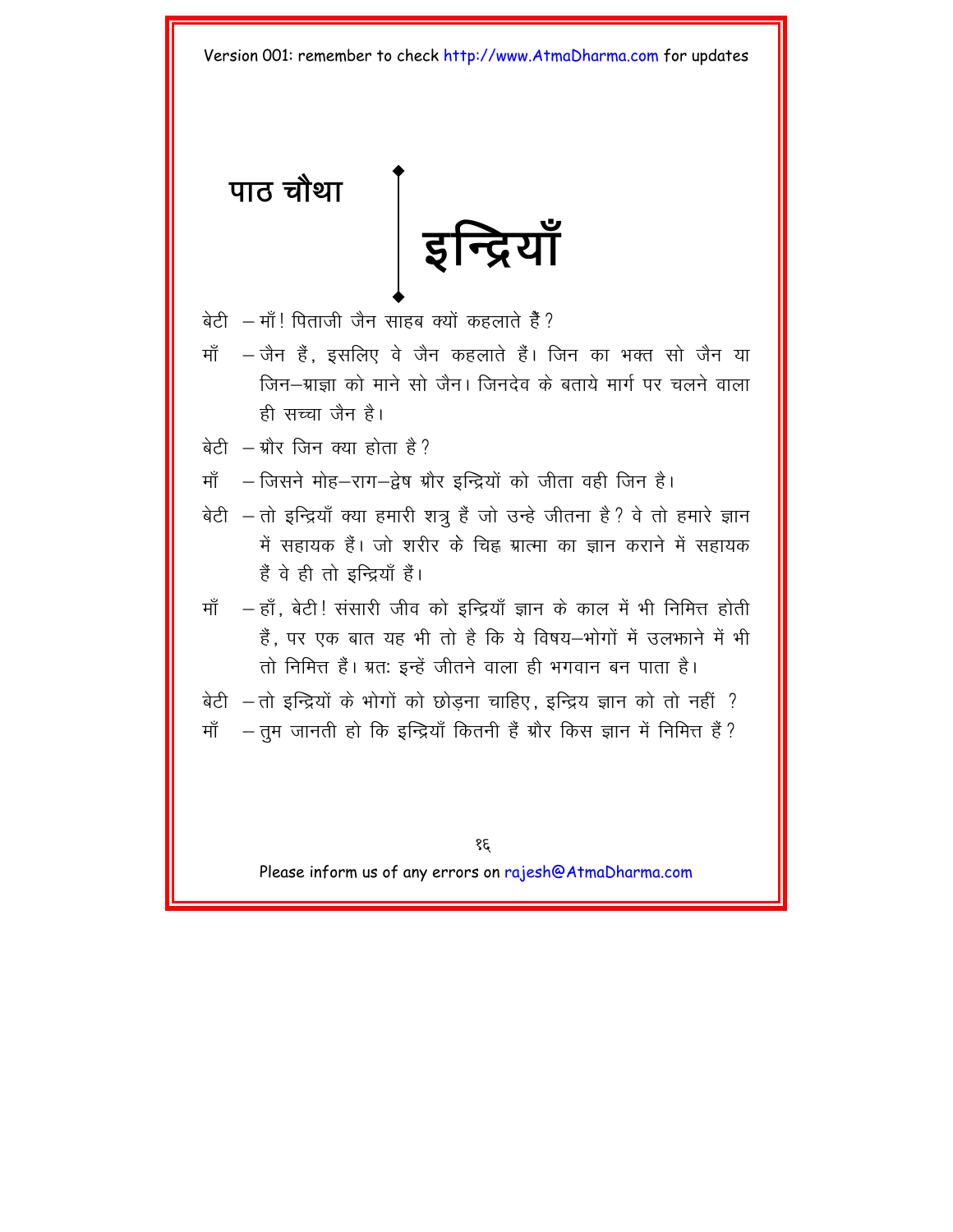<span id="page-18-0"></span>पाठ चौथा इन्द्रियाँ

- बेटी माँ! पिताजी जैन साहब क्यों कहलाते हैं ?
- जैन हैं. इसलिए वे जैन कहलाते हैं। जिन का भक्त सो जैन या ਸਾੱ जिन–ग्राज़ा को माने सो जैन। जिनदेव के बताये मार्ग पर चलने वाला ही सच्चा जैन है।
- बेटी ग्रौर जिन क्या होता है?
- माँ जिसने मोह-राग-द्वेष ग्रौर इन्द्रियों को जीता वही जिन है।
- बेटी तो इन्द्रियाँ क्या हमारी शत्रु हैं जो उन्हे जीतना है? वे तो हमारे ज्ञान में सहायक हैं। जो शरीर के चिह्न ग्रात्मा का ज्ञान कराने में सहायक हैं वे ही तो इन्द्रियाँ हैं।
- ਸਾੱ — हाँ, बेटी! संसारी जीव को इन्द्रियाँ ज्ञान के काल में भी निमित्त होती हैं. पर एक बात यह भी तो है कि ये विषय-भोगों में उल़भाने में भी तो निमित्त हैं। ग्रत: इन्हें जीतने वाला ही भगवान बन पाता है।
- बेटी तो इन्द्रियों के भोगों को छोड़ना चाहिए, इन्द्रिय ज्ञान को तो नहीं ? – तुम जानती हो कि इन्द्रियाँ कितनी हैं ग्रौर किस ज्ञान में निमित्त हैं ? ਸਾੱ

38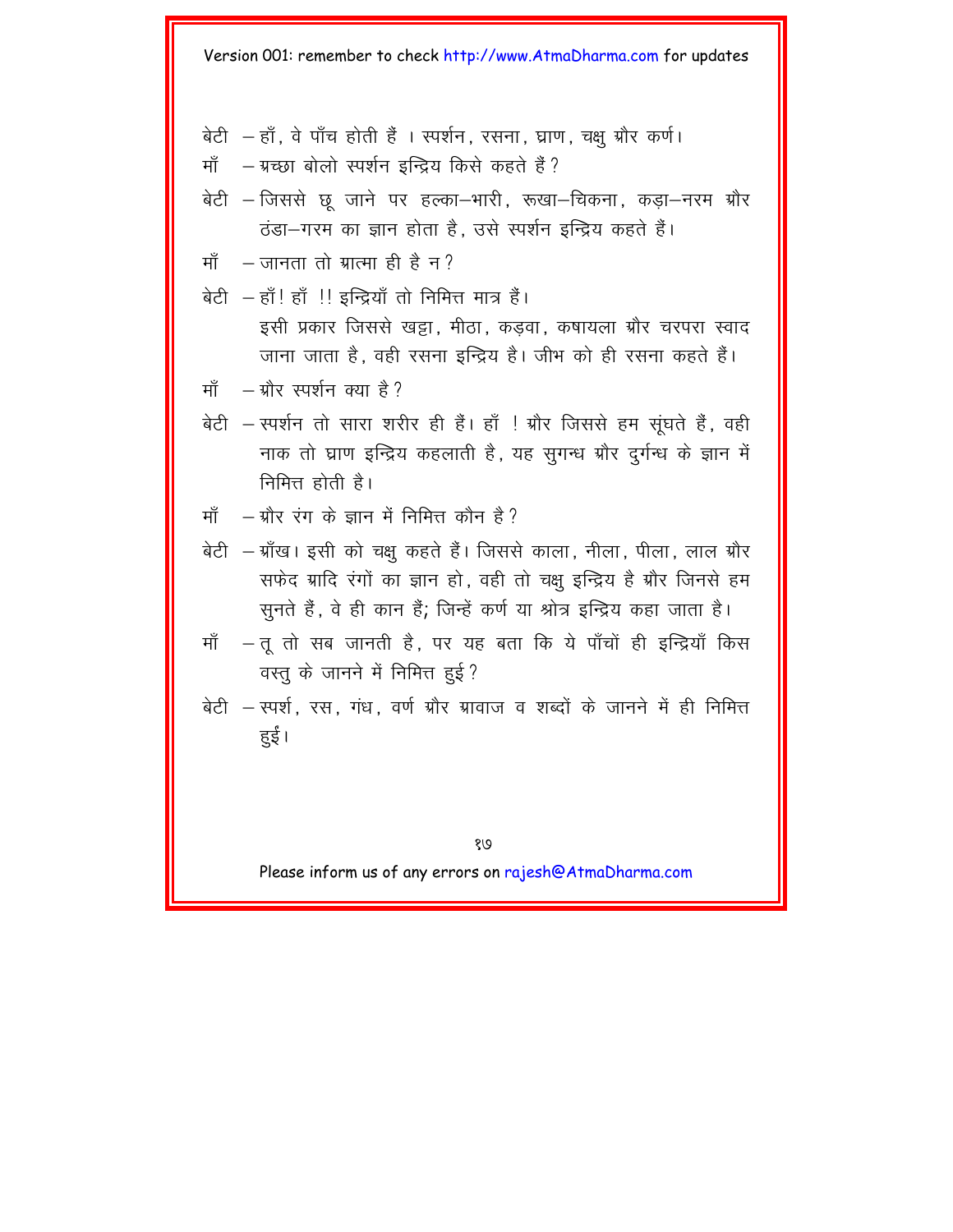- बेटी हाँ, वे पाँच होती हैं । स्पर्शन, रसना, घ्राण, चक्षु ग्रौर कर्ण।
- माँ ग्रच्छा बोलो स्पर्शन इन्द्रिय किसे कहते हैं?
- बेटी जिससे छ जाने पर हल्का–भारी, रूखा–चिकना, कडा–नरम ग्रौर ठंडा-गरम का ज्ञान होता है. उसे स्पर्शन इन्द्रिय कहते हैं।
- जानता तो ग्रात्मा ही है न ? ਸਾੱ
- बेटी हाँ! हाँ !! इन्द्रियाँ तो निमित्त मात्र हैं। इसी प्रकार जिससे खट्टा, मीठा, कडवा, कषायला ग्रौर चरपरा स्वाद जाना जाता है, वही रसना इन्द्रिय है। जीभ को ही रसना कहते हैं।
- ग्रौर स्पर्शन क्या है ? ਸਾੱ
- बेटी स्पर्शन तो सारा शरीर ही हैं। हाँ ! ग्रौर जिससे हम सुंघते हैं, वही नाक तो घ्राण इन्द्रिय कहलाती है, यह सुगन्ध ग्रौर दुर्गन्ध के ज्ञान में निमित्त होती है।
- ग्रौर रंग के ज्ञान में निमित्त कौन है ? ਸਾੱ
- बेटी ग्राँख। इसी को चक्षु कहते हैं। जिससे काला, नीला, पीला, लाल ग्रौर सफेद ग्रादि रंगों का ज्ञान हो. वही तो चक्ष इन्द्रिय है ग्रौर जिनसे हम सुनते हैं, वे ही कान हैं, जिन्हें कर्ण या श्रोत्र इन्द्रिय कहा जाता है।
- माँ तू तो सब जानती है, पर यह बता कि ये पाँचों ही इन्द्रियाँ किस वस्तु के जानने में निमित्त हुई?
- बेटी स्पर्श, रस, गंध, वर्ण ग्रौर ग्रावाज व शब्दों के जानने में ही निमित्त हुई।

१७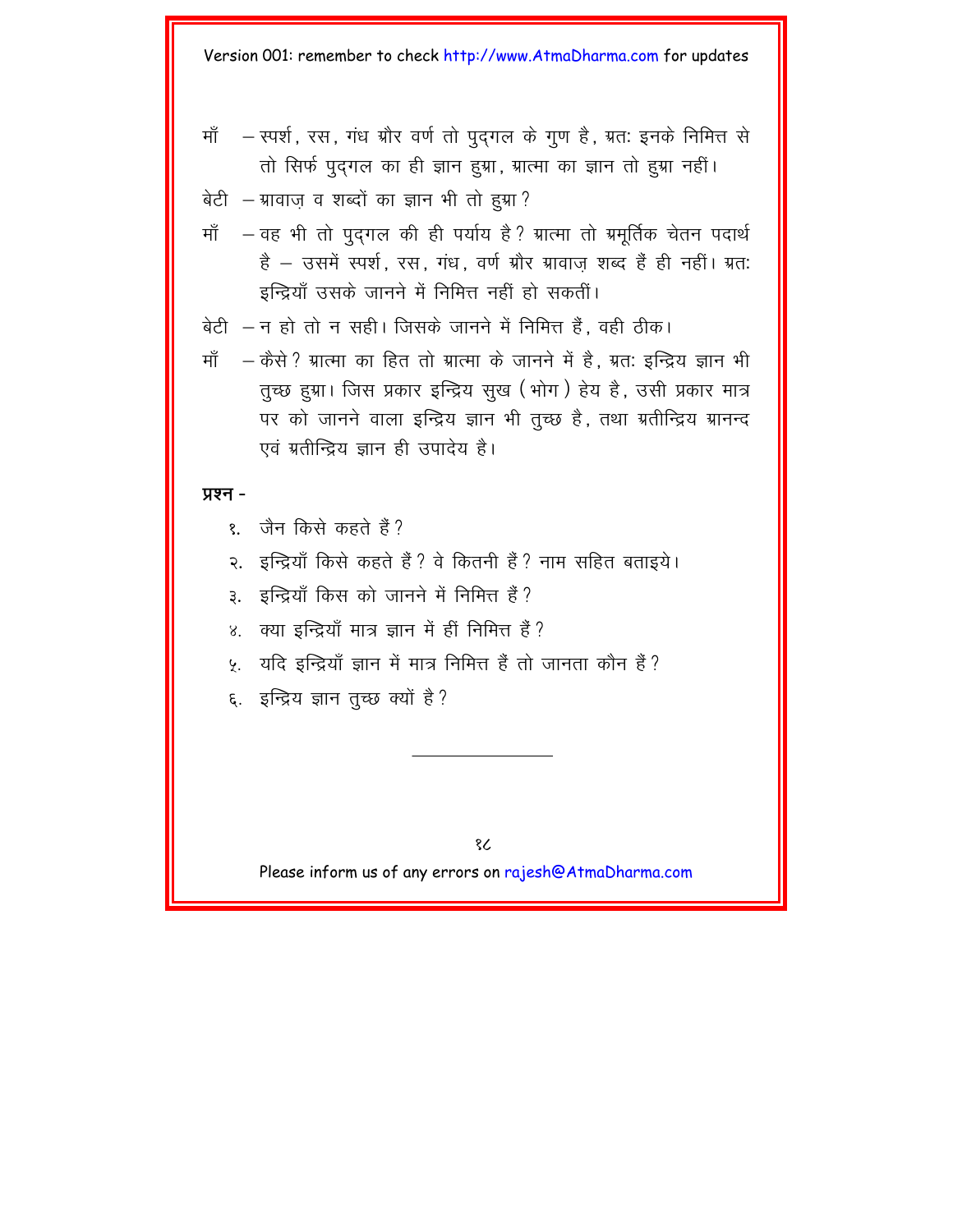- माँ – स्पर्श, रस, गंध ग्रौर वर्ण तो पुद्गल के गूण है, ग्रत: इनके निमित्त से तो सिर्फ पुदगल का ही ज्ञान हुग्ना, ग्रात्मा का ज्ञान तो हुग्ना नहीं।
- बेटी ग्रावाज व शब्दों का ज्ञान भी तो हुग्रा?
- माँ - वह भी तो पदगल की ही पर्याय है? ग्रात्मा तो ग्रमर्तिक चेतन पदार्थ है - उसमें स्पर्श, रस, गंध, वर्ण ग्रौर ग्रावाज़ शब्द हैं ही नहीं। ग्रत: इन्द्रियाँ उसके जानने में निमित्त नहीं हो सकतीं।
- बेटी न हो तो न सही। जिसके जानने में निमित्त हैं . वही तीक।
- ਸਾੱ – कैसे ? ग्रात्मा का हित तो ग्रात्मा के जानने में है . ग्रत: इन्द्रिय ज्ञान भी तृच्छ हुग्रा। जिस प्रकार इन्द्रिय सुख (भोग) हेय है, उसी प्रकार मात्र पर को जानने वाला इन्द्रिय ज्ञान भी तृच्छ है, तथा ग्रतीन्द्रिय ग्रानन्द एवं ग्रतीन्द्रिय ज्ञान ही उपादेय है।

#### प्रश्न -

- जैन किसे कहते हैं ?  $\delta$
- इन्द्रियाँ किसे कहते हैं ? वे कितनी हैं ? नाम सहित बताइये।  $\mathcal{Q}_{\mathcal{A}}$
- इन्द्रियाँ किस को जानने में निमित्त हैं? З.
- क्या इन्द्रियाँ मात्र ज्ञान में हीं निमित्त हैं ?  $8<sub>1</sub>$
- ५. यदि इन्द्रियाँ ज्ञान में मात्र निमित्त हैं तो जानता कौन हैं ?
- ६. इन्द्रिय ज्ञान तुच्छ क्यों है?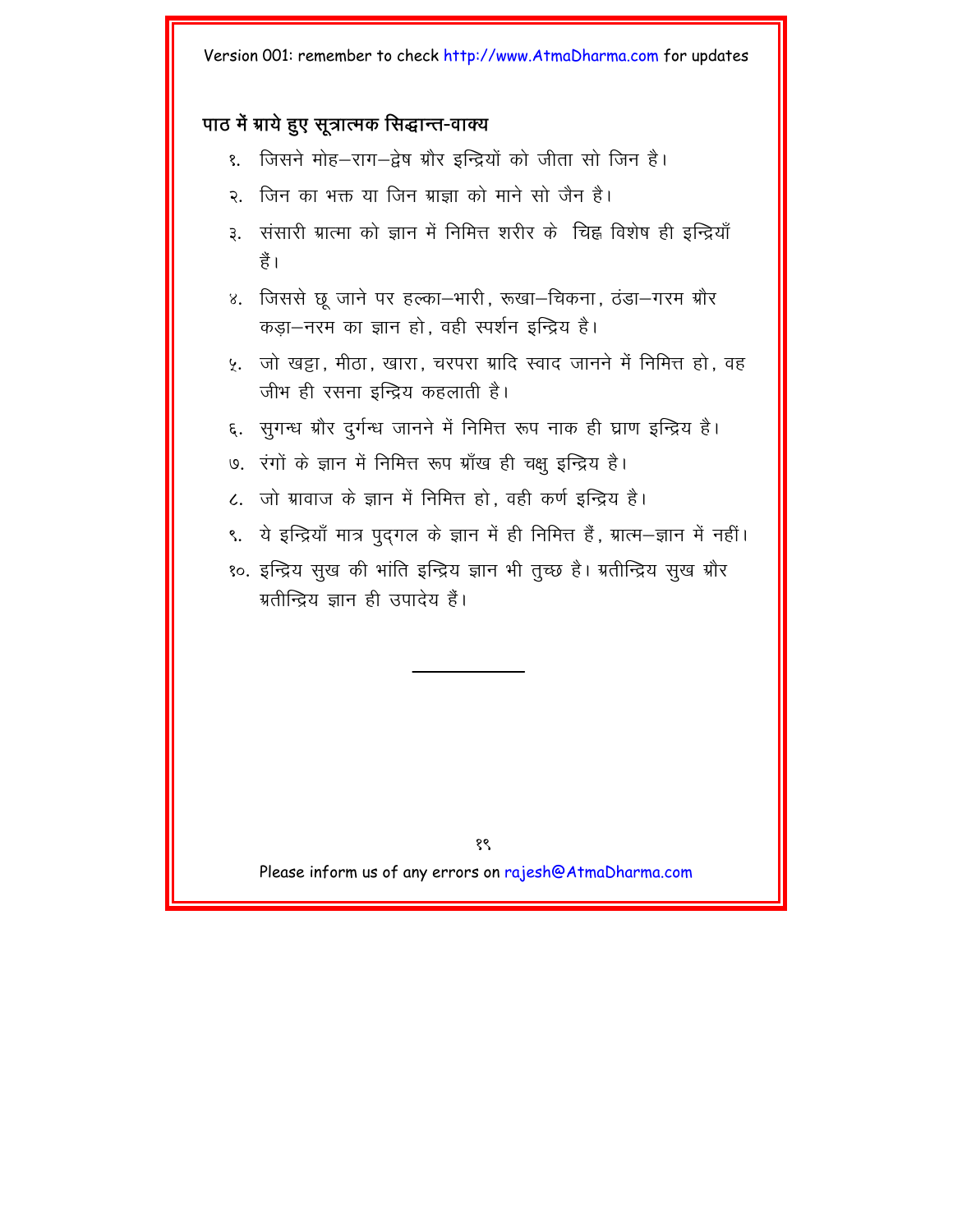### पाठ में ग्राये हुए सूत्रात्मक सिद्धान्त-वाक्य

- जिसने मोह–राग–द्वेष ग्रौर इन्द्रियों को जीता सो जिन है।  $\overline{\mathcal{E}}$
- २ जिन का भक्त या जिन ग्राज़ा को माने सो जैन है।
- संसारी ग्रात्मा को ज्ञान में निमित्त शरीर के चिह्न विशेष ही इन्द्रियाँ З. है।
- जिससे छ जाने पर हल्का–भारी, रूखा–चिकना, ठंडा–गरम ग्रौर  $8<sub>1</sub>$ कड़ा-नरम का ज्ञान हो. वही स्पर्शन इन्द्रिय है।
- जो खट्टा, मीठा, खारा, चरपरा ग्रादि स्वाद जानने में निमित्त हो, वह У. जीभ ही रसना इन्द्रिय कहलाती है।
- सुगन्ध ग्रौर दुर्गन्ध जानने में निमित्त रूप नाक ही घ्राण इन्द्रिय है। ξ.
- ७. रंगों के ज्ञान में निमित्त रूप ग्राँख ही चक्षु इन्द्रिय है।
- ८. जो ग्रावाज के ज्ञान में निमित्त हो, वही कर्ण इन्द्रिय है।
- ९. ये इन्द्रियाँ मात्र पुद्गल के ज्ञान में ही निमित्त हैं, ग्रात्म—ज्ञान में नहीं।
- १०. इन्द्रिय सुख की भांति इन्द्रिय ज्ञान भी तुच्छ है। ग्रतीन्द्रिय सुख ग्रौर ग्रतीन्द्रिय ज्ञान ही उपादेय हैं।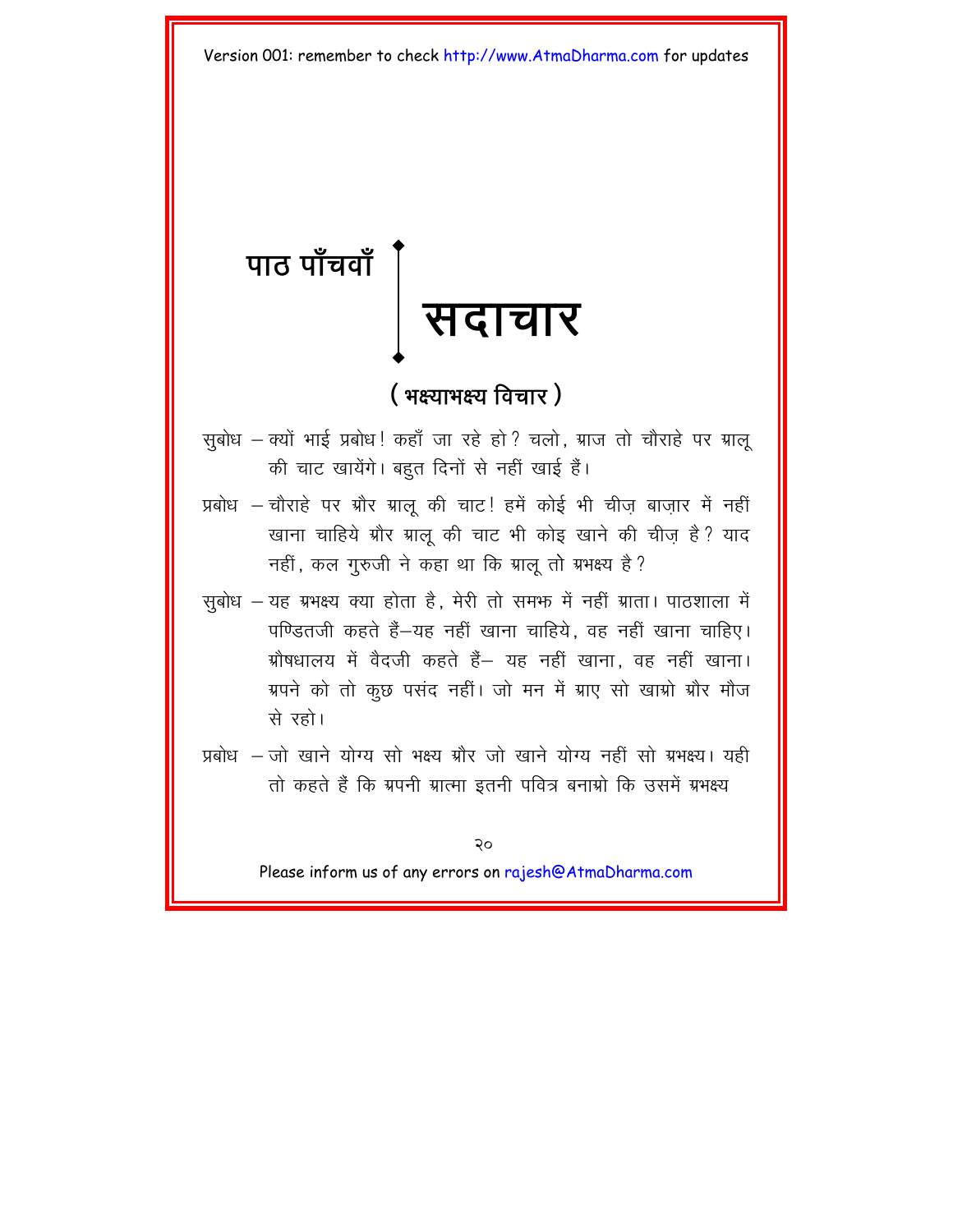# <span id="page-22-0"></span>पाठ पाँचवाँ **¥** <u>सदाचार</u>

### $($  **भक्ष्याभक्ष्य** विचार )

- सबोध क्यों भाई प्रबोध! कहाँ जा रहे हो ? चलो, ग्राज तो चौराहे पर ग्रालू की चाट खायेंगे। बहुत दिनों से नहीं खाई हैं।
- प्रबोध चौराहे पर ग्रौर ग्राल की चाट! हमें कोई भी चीज बाजार में नहीं खाना चाहिये ग्रौर ग्रालू की चाट भी कोइ खाने की चीज़ है? याद नहीं, कल गुरुजी ने कहा था कि ग्रालू तो ग्रभक्ष्य है?
- सुबोध यह ग्रभक्ष्य क्या होता है, मेरी तो समफ में नहीं ग्राता। पाठशाला में पण्डितजी कहते हैं-यह नहीं खाना चाहिये. वह नहीं खाना चाहिए। ग्रोषधालय में वैदजी कहते हैं– यह नहीं खाना, वह नहीं खाना। ग्रपने को तो कुछ पसंद नहीं। जो मन में ग्राए सो खाग्रो ग्रौर मौज से रहो।
- प्रबोध जो खाने योग्य सो भक्ष्य ग्रौर जो खाने योग्य नहीं सो ग्रभक्ष्य। यही तो कहते हैं कि ग्रपनी ग्रात्मा इतनी पवित्र बनाग्रो कि उसमें ग्रभक्ष्य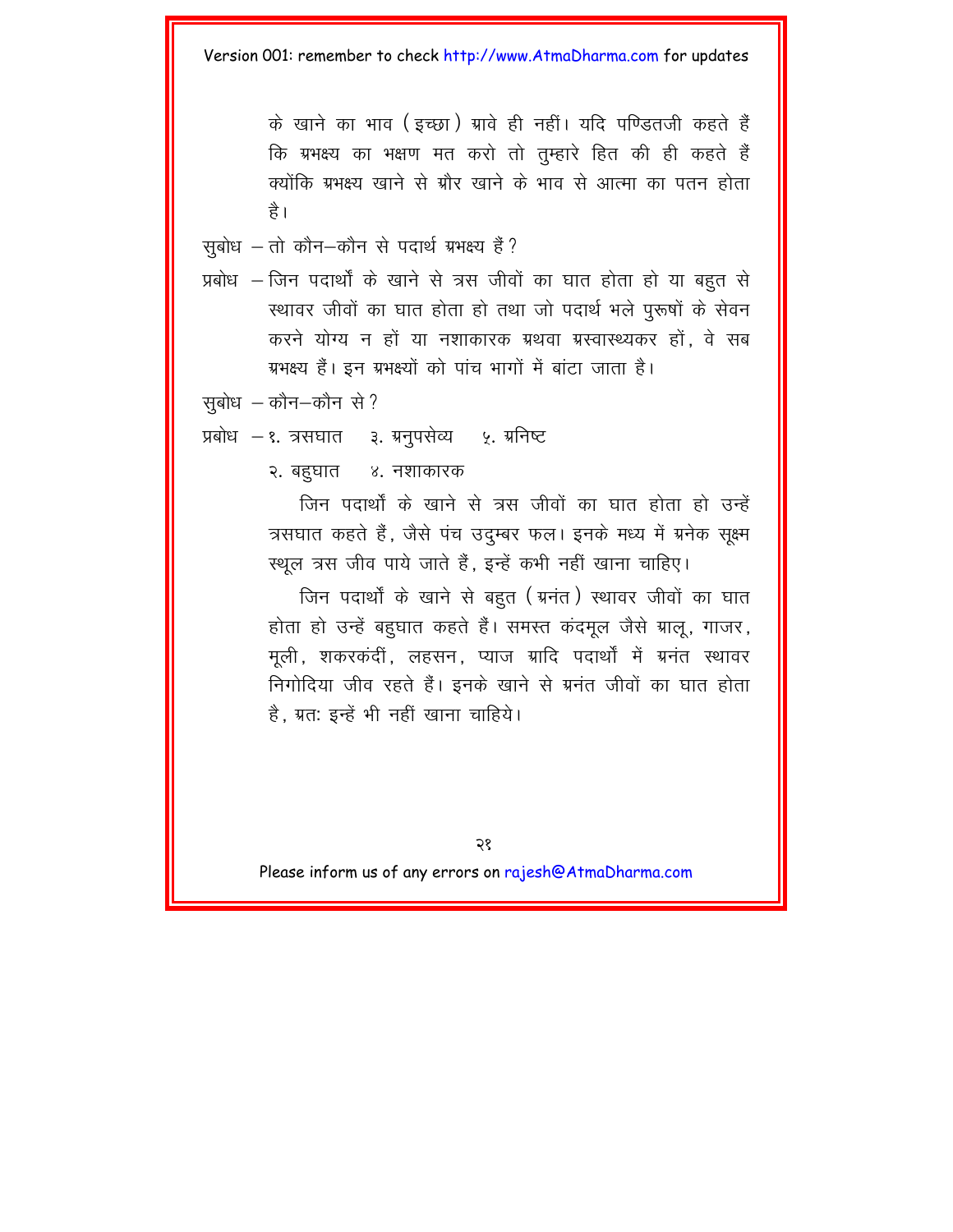के खाने का भाव (इच्छा) ग्रावे ही नहीं। यदि पण्डितजी कहते हैं कि ग्रभक्ष्य का भक्षण मत करो तो तुम्हारे हित की ही कहते हैं क्योंकि ग्रभक्ष्य खाने से ग्रौर खाने के भाव से आत्मा का पतन होता है ।

सूबोध  $-$  तो कौन $-$ कौन से पदार्थ ग्रभक्ष्य हैं ?

प्रबोध – जिन पदार्थों के खाने से त्रस जीवों का घात होता हो या बहुत से रथावर जीवों का घात होता हो तथा जो पदार्थ भले पुरूषों के सेवन करने योग्य न हों या नशाकारक ग्रथवा ग्रस्वास्थ्यकर हों. वे सब ग्रभक्ष्य हैं। इन ग्रभक्ष्यों को पांच भागों में बांटा जाता है।

```
सुबोध - कौन-कौन से?
```
प्रबोध – १. त्रसघात ३. ग्रनुपसेव्य ५. ग्रनिष्ट

२. बहुघात ४. नशाकारक

जिन पदार्थों के खाने से त्रस जीवों का घात होता हो उन्हें त्रसघात कहते हैं, जैसे पंच उदम्बर फल। इनके मध्य में ग्रनेक सूक्ष्म स्थल त्रस जीव पाये जाते हैं, इन्हें कभी नहीं खाना चाहिए।

जिन पदार्थों के खाने से बहुत ( ग्रनंत) स्थावर जीवों का घात होता हो उन्हें बहुघात कहते हैं। समस्त कंदमूल जैसे ग्रालू, गाजर, मूली, शकरकंदीं, लहसन, प्याज ग्रादि पदार्थों में ग्रनंत स्थावर निगोदिया जीव रहते हैं। इनके खाने से ग्रनंत जीवों का घात होता है. ग्रत: इन्हें भी नहीं खाना चाहिये।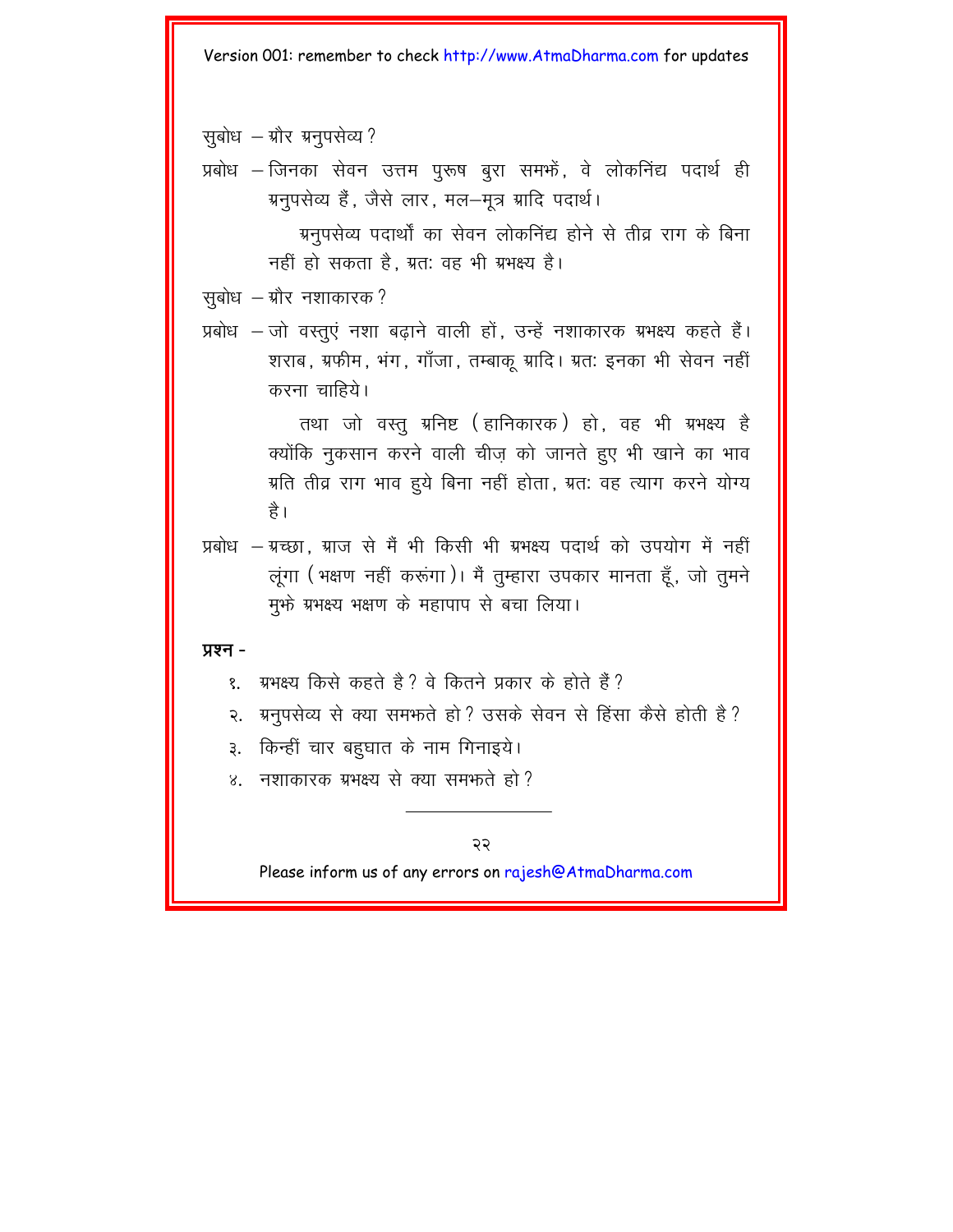सूबोध - ग्रौर ग्रनुपसेव्य ?

प्रबोध – जिनका सेवन उत्तम पुरूष बूरा समभें, वे लोकनिंद्य पदार्थ ही ग्रनुपसेव्य हैं, जैसे लार, मल-मूत्र ग्रादि पदार्थ।

> ग्रनपसेव्य पदार्थों का सेवन लोकनिंद्य होने से तीव्र राग के बिना नहीं हो सकता है. ग्रत: वह भी ग्रभक्ष्य है।

सुबोध – ग्रौर नशाकारक?

प्रबोध – जो वस्तुएं नशा बढाने वाली हों, उन्हें नशाकारक ग्रभक्ष्य कहते हैं। शराब, ग्रफीम, भंग, गाँजा, तम्बाक् ग्रादि। ग्रत: इनका भी सेवन नहीं करना चाहिये।

> तथा जो वस्तु ग्रनिष्ट (हानिकारक) हो, वह भी ग्रभक्ष्य है क्योंकि नुकसान करने वाली चीज़ को जानते हुए भी खाने का भाव ग्रति तीव्र राग भाव हूये बिना नहीं होता, ग्रतः वह त्याग करने योग्य ੜੇ।

प्रबोध – ग्रच्छा, ग्राज से मैं भी किसी भी ग्रभक्ष्य पदार्थ को उपयोग में नहीं लुंगा (भक्षण नहीं करूंगा)। मैं तुम्हारा उपकार मानता हूँ, जो तुमने मुफ्ते ग्रभक्ष्य भक्षण के महापाप से बचा लिया।

प्रश्न -

- ग्रभक्ष्य किसे कहते हैं ? वे कितने प्रकार के होते हैं ? १
- ग्रनुपसेव्य से क्या समफते हो ? उसके सेवन से हिंसा कैसे होती है ? २.
- किन्हीं चार बहुघात के नाम गिनाइये। З.
- ४. नशाकारक ग्रभक्ष्य से क्या समफते हो?

২২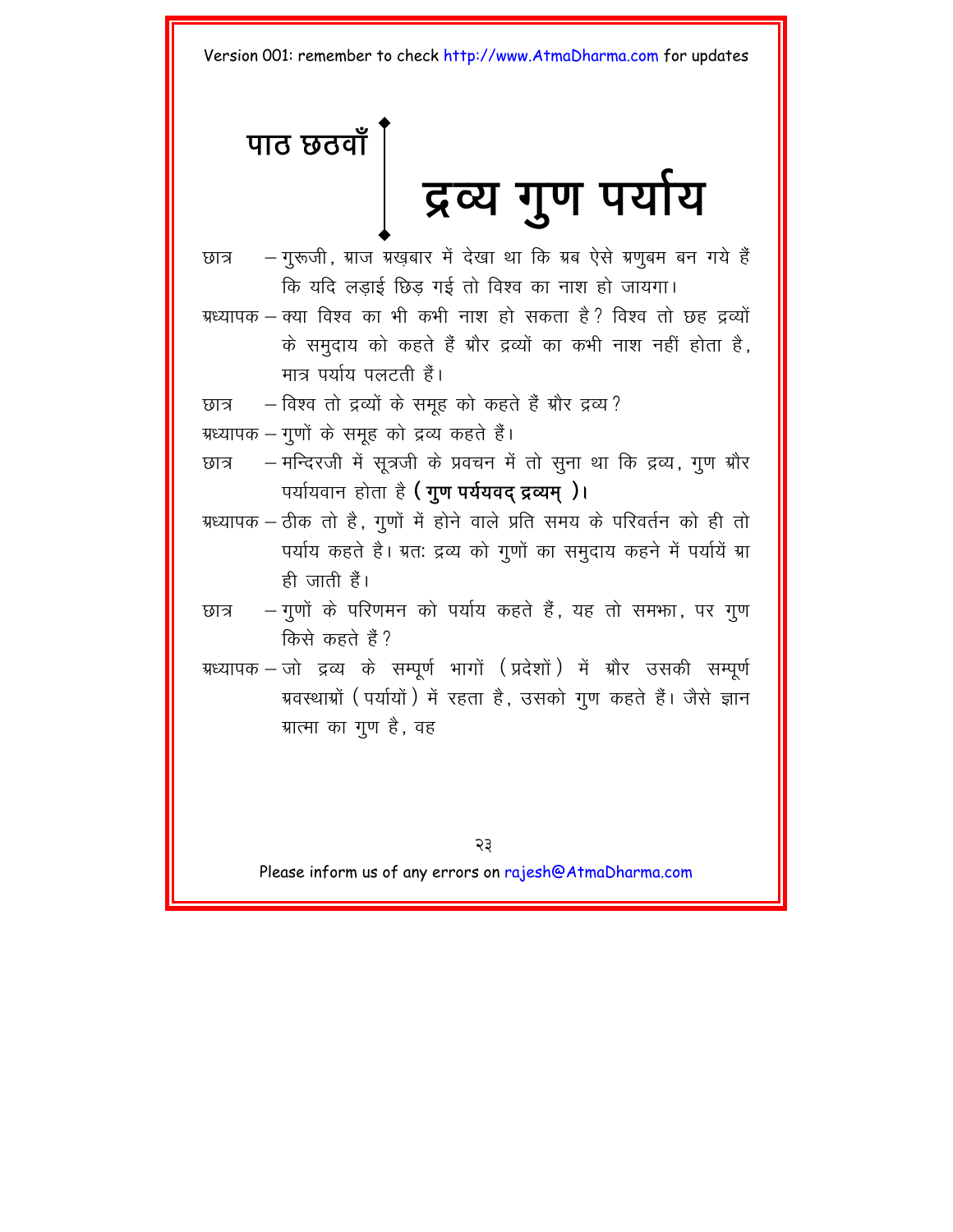# <span id="page-25-0"></span>पाठ छठवाँ

# द्रव्य गुण पर्याय

- छात्र के नुरूजी, ग्राज ग्रखबार में देखा था कि ग्रब ऐसे ग्रणुबम बन गये हैं कि यदि लड़ाई छिड़ गई तो विश्व का नाश हो जायगा।
- ग्रध्यापक क्या विश्व का भी कभी नाश हो सकता है ? विश्व तो छह द्रव्यों के समुदाय को कहते हैं ग्रौर द्रव्यों का कभी नाश नहीं होता है, मात्र पर्याय पलटती हैं।
- छात्र कि विश्व तो द्रव्यों के समुह को कहते हैं ग्रौर द्रव्य ?
- ग्रध्यापक गुणों के समुह को द्रव्य कहते हैं।
- छात्र क मन्दिरजी में सूत्रजी के प्रवचन में तो सुना था कि द्रव्य, गुण ग्रौर  $\nabla$ पर्यायवान होता है (गूण पर्ययवद द्रव्यम्)।
- ग्रध्यापक ठीक तो है, गूणों में होने वाले प्रति समय के परिवर्तन को ही तो पर्याय कहते है। ग्रत: द्रव्य को गुणों का समुदाय कहने में पर्यायें ग्रा ही जाती हैं।
- छात्र कि गुणों के परिणमन को पर्याय कहते हैं, यह तो समफा, पर गुण किसे कहते हैं?
- ग्रध्यापक जो द्रव्य के सम्पर्ण भागों (प्रदेशों) में ग्रौर उसकी सम्पर्ण ग्रवस्थाग्रों (पर्यायों) में रहता है, उसको गुण कहते हैं। जैसे ज्ञान ग्रात्मा का गुण है, वह

23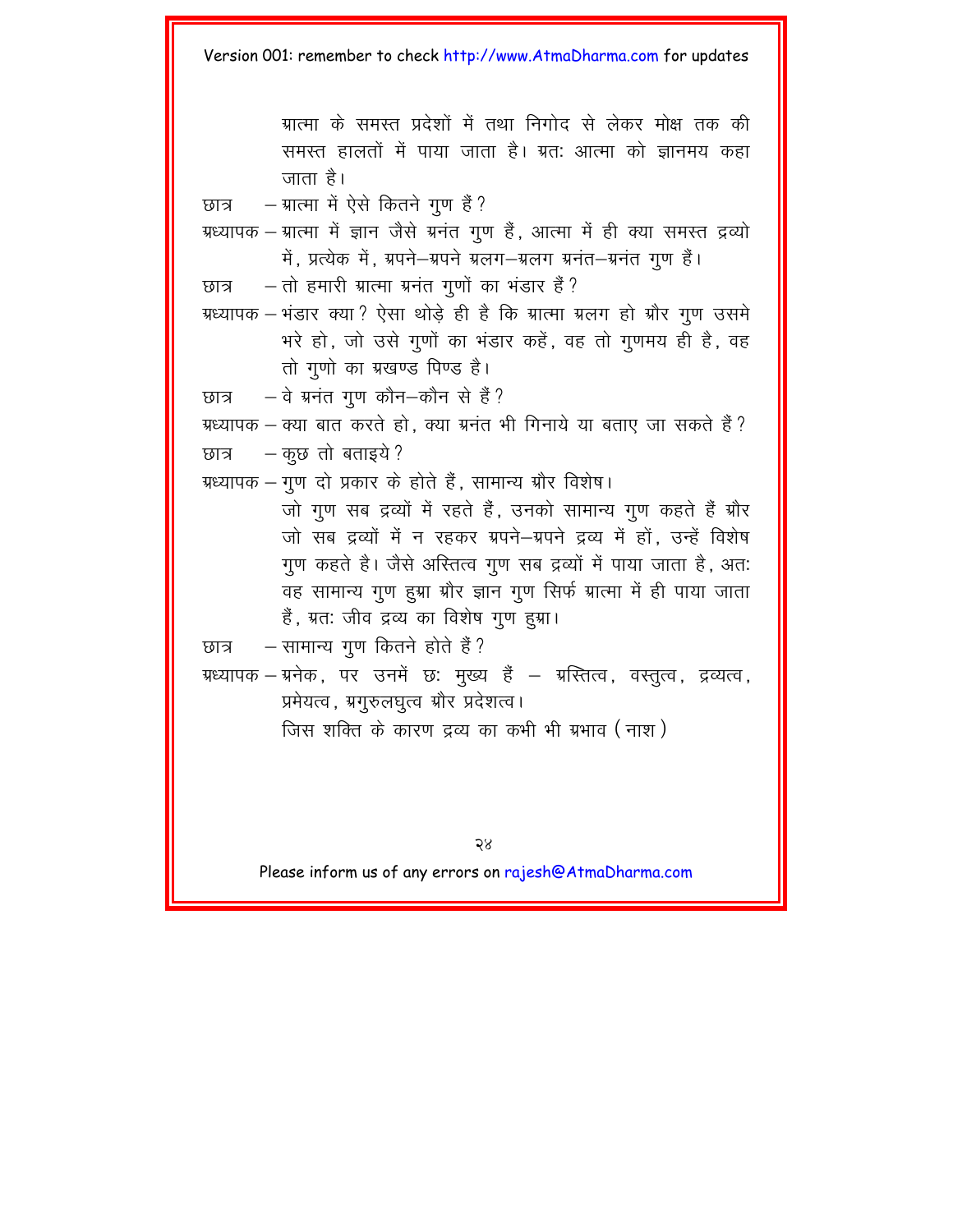ग्रात्मा के समस्त प्रदेशों में तथा निगोद से लेकर मोक्ष तक की समस्त हालतों में पाया जाता है। ग्रत: आत्मा को ज्ञानमय कहा त्नाता है।

छात्र - म्रात्मा में ऐसे कितने गुण हैं ?

- ग्रध्यापक ग्रात्मा में ज्ञान जैसे ग्रनंत गूण हैं, आत्मा में ही क्या समस्त द्रव्यो में, प्रत्येक में, ग्रपने-ग्रपने ग्रलग-ग्रलग ग्रनंत-ग्रनंत गूण हैं।
- $\overline{v}$ छात्र तो हमारी ग्रात्मा ग्रनंत गुणों का भंडार हैं?
- ग्रध्यापक भंडार क्या ? ऐसा थोड़े ही है कि ग्रात्मा ग्रलग हो ग्रौर गुण उसमे भरे हो, जो उसे गुणों का भंडार कहें, वह तो गुणमय ही है, वह तो गणो का ग्रखण्ड पिण्ड है।
- $\overline{v}$ छात्र वे ग्रनंत गूण कौन-कौन से हैं?
- ग्रध्यापक क्या बात करते हो, क्या ग्रनंत भी गिनाये या बताए जा सकते हैं? छात्र  $-$  कूछ तो बताइये ?
- ग्रध्यापक गुण दो प्रकार के होते हैं. सामान्य ग्रौर विशेष।

जो गण सब द्रव्यों में रहते हैं. उनको सामान्य गण कहते हैं ग्रौर जो सब द्रव्यों में न रहकर ग्रपने-ग्रपने द्रव्य में हों. उन्हें विशेष गुण कहते है। जैसे अस्तित्व गुण सब द्रव्यों में पाया जाता है, अत: वह सामान्य गुण हुग्ना ग्रोर ज्ञान गुण सिर्फ ग्रात्मा में ही पाया जाता हैं, ग्रत: जीव द्रव्य का विशेष गुण हुग्रा।

 $\overline{b}$ छात्र - सामान्य गुण कितने होते हैं?

ग्रध्यापक – ग्रनेक , पर उनमें छ: मुख्य हैं – ग्रस्तित्व, वस्तुत्व, द्रव्यत्व, प्रमेयत्व, ग्रगुरुलघुत्व ग्रौर प्रदेशत्व।

जिस शक्ति के कारण द्रव्य का कभी भी ग्रभाव ( नाश )

२४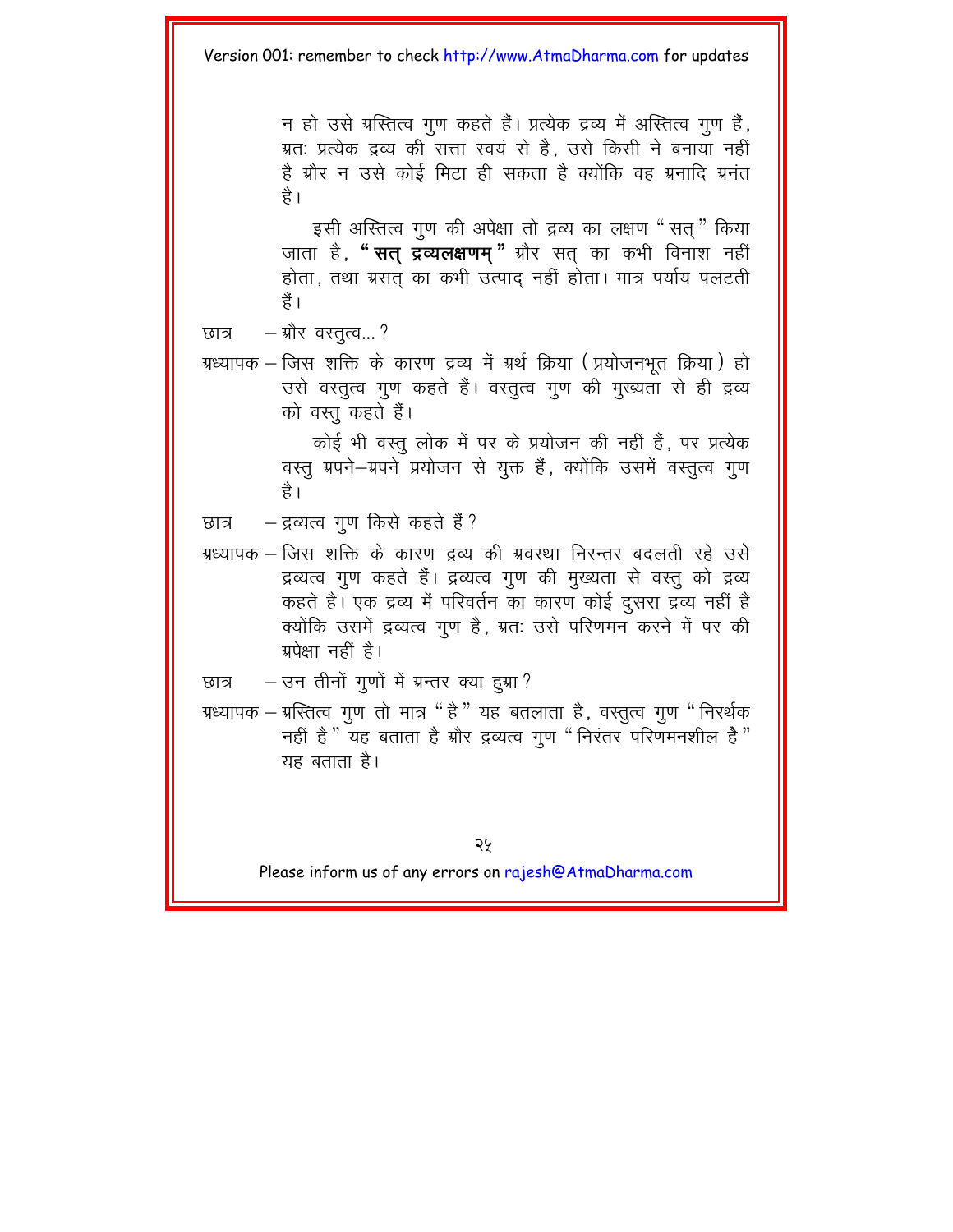न हो उसे ग्रस्तित्व गण कहते हैं। प्रत्येक द्रव्य में अस्तित्व गण हैं. ग्रत: प्रत्येक द्रव्य की सत्ता स्वयं से है. उसे किसी ने बनाया नहीं है ग्रौर न उसे कोई मिटा ही सकता है क्योंकि वह ग्रनादि ग्रनंत है।

इसी अस्तित्व गुण की अपेक्षा तो द्रव्य का लक्षण "सत्" किया जाता है, **" सत् द्रव्यलक्षणम**" ग्रौर सत् का कभी विनाश नहीं होता, तथा ग्रसत का कभी उत्पाद नहीं होता। मात्र पर्याय पलटती ੜੈ ।

ग्रध्यापक – जिस शक्ति के कारण द्रव्य में ग्रर्थ क्रिया (प्रयोजनभूत क्रिया) हो उसे वस्तुत्व गुण कहते हैं। वस्तुत्व गुण की मुख्यता से ही द्रव्य को वस्त कहते हैं।

> कोई भी वस्तु लोक में पर के प्रयोजन की नहीं हैं, पर प्रत्येक वस्तु ग्रपने-ग्रपने प्रयोजन से युक्त हैं, क्योंकि उसमें वस्तुत्व गुण है।

छात्र - द्रव्यत्व गुण किसे कहते हैं ?

ग्रध्यापक – जिस शक्ति के कारण द्रव्य की ग्रवस्था निरन्तर बदलती रहे उसे द्रव्यत्व गुण कहते हैं। द्रव्यत्व गुण की मुख्यता से वस्तु को द्रव्य कहते हैं। एक द्रव्य में परिवर्तन का कारण कोई दूसरा द्रव्य नहीं है क्योंकि उसमें द्रव्यत्व गुण है, ग्रत: उसे परिणमन करने में पर की ग्रपेक्षा नहीं है।

छात्र - उन तीनों गुणों में ग्रन्तर क्या हुग्रा?

ग्रध्यापक – ग्रस्तित्व गुण तो मात्र " है " यह बतलाता है, वस्तुत्व गुण " निरर्थक नहीं है<sup>"</sup> यह बताता है ग्रौर द्रव्यत्व गूण "निरंतर परिणमनशील है<sup>"</sup> यह बताता है।

छात्र – ग्रौर वस्तुत्व...?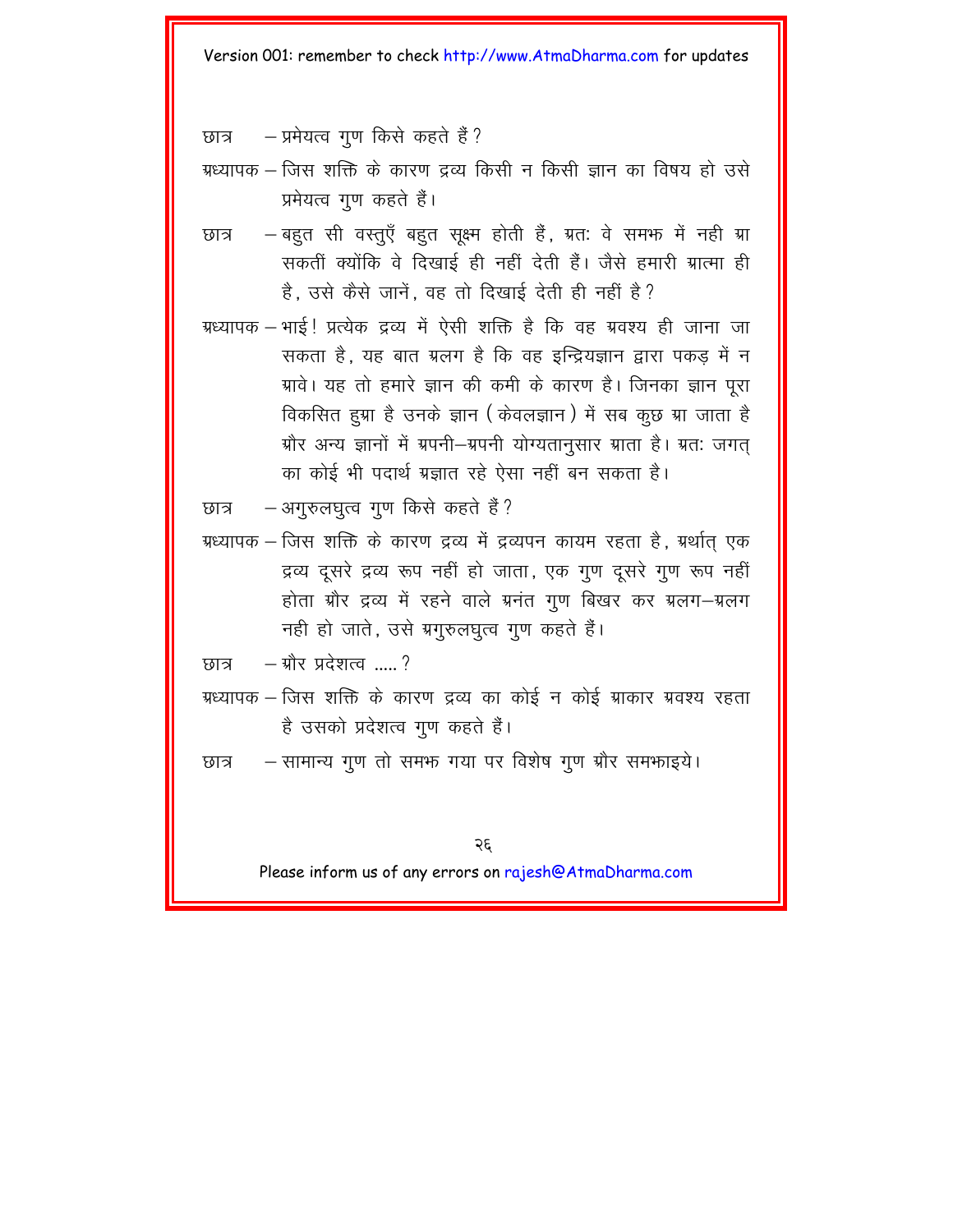छात्र – प्रमेयत्व गुण किसे कहते हैं?

ग्रध्यापक – जिस शक्ति के कारण द्रव्य किसी न किसी ज्ञान का विषय हो उसे प्रमेयत्व गण कहते हैं।

- बहुत सी वस्तुएँ बहुत सुक्ष्म होती हैं, ग्रत: वे समफ में नही ग्रा छात्र सकतीं क्योंकि वे दिखाई ही नहीं देती हैं। जैसे हमारी ग्रात्मा ही है, उसे कैसे जानें, वह तो दिखाई देती ही नहीं है?
- ग्रध्यापक भाई ! प्रत्येक द्रव्य में ऐसी शक्ति है कि वह ग्रवश्य ही जाना जा सकता है. यह बात ग्रलग है कि वह इन्द्रियज्ञान द्वारा पकड़ में न ग्रावे। यह तो हमारे ज्ञान की कमी के कारण है। जिनका ज्ञान पूरा विकसित हुग्रा है उनके ज्ञान (केवलज्ञान) में सब कूछ ग्रा जाता है ग्रौर अन्य ज्ञानों में ग्रपनी-ग्रपनी योग्यतानुसार ग्राता है। ग्रत: जगत का कोई भी पदार्थ ग्रज्ञात रहे ऐसा नहीं बन सकता है।
- अगुरुलघुत्व गुण किसे कहते हैं ? छात्र
- ग्रध्यापक जिस शक्ति के कारण द्रव्य में द्रव्यपन कायम रहता है, ग्रर्थात एक द्रव्य दसरे द्रव्य रूप नहीं हो जाता. एक गण दसरे गण रूप नहीं होता ग्रौर द्रव्य में रहने वाले ग्रनंत गुण बिखर कर ग्रलग-ग्रलग नही हो जाते, उसे ग्रगुरुलघुत्व गुण कहते हैं।

 $-$  ग्रौर प्रदेशत्व $\overline{\phantom{a}}$  ? ਲਾਕ

- ग्रध्यापक जिस शक्ति के कारण द्रव्य का कोई न कोई ग्राकार ग्रवश्य रहता है उसको प्रदेशत्व गुण कहते हैं।
- सामान्य गुण तो समफ गया पर विशेष गुण ग्रौर समफाइये। छात्र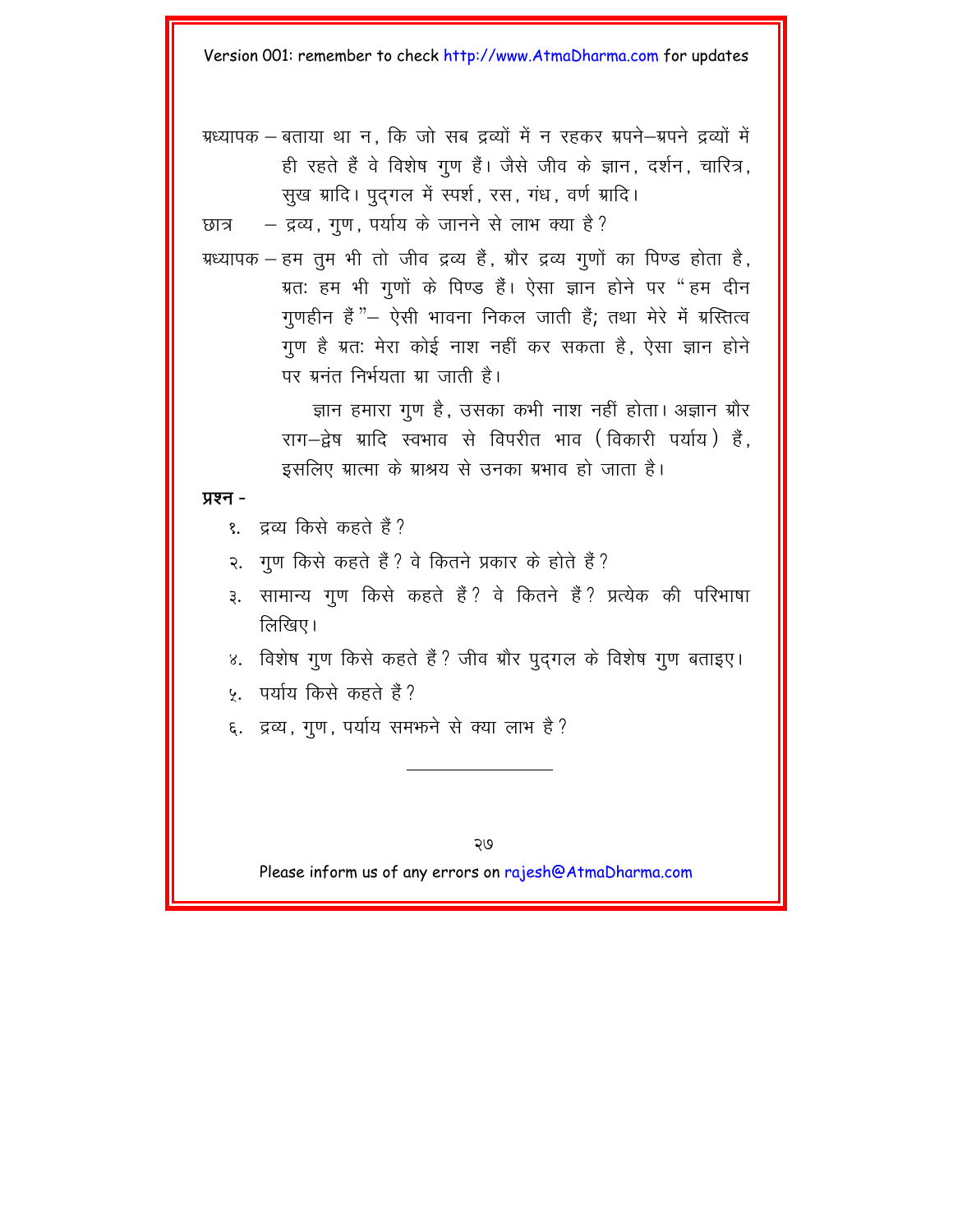ग्रध्यापक – बताया था न. कि जो सब द्रव्यों में न रहकर ग्रपने–ग्रपने द्रव्यों में ही रहते हैं वे विशेष गुण हैं। जैसे जीव के ज्ञान, दर्शन, चारित्र, सूख ग्रादि। पूदगल में स्पर्श, रस, गंध, वर्ण ग्रादि।

 $\overline{w}$  =  $\overline{w}$  =  $\overline{w}$ , गण, पर्याय के जानने से लाभ क्या है?

ग्रध्यापक - हम तुम भी तो जीव द्रव्य हैं, ग्रौर द्रव्य गुणों का पिण्ड होता है, ग्रत: हम भी गुणों के पिण्ड हैं। ऐसा ज्ञान होने पर "हम दीन गुणहीन हैं "– ऐसी भावना निकल जाती हैं; तथा मेरे में ग्रस्तित्व गुण है ग्रत: मेरा कोई नाश नहीं कर सकता है, ऐसा ज्ञान होने पर ग्रनंत निर्भयता ग्रा $\pi$  जाती है।

> ज्ञान हमारा गण है. उसका कभी नाश नहीं होता। अज्ञान ग्रौर राग-द्वेष ग्रादि स्वभाव से विपरीत भाव (विकारी पर्याय) हैं. इसलिए ग्रात्मा के ग्राश्रय से उनका ग्रभाव हो जाता है।

#### **y**xन -

- १. दव्य किसे कहते हैं ?
- २. गुण किसे कहते हैं ? वे कितने प्रकार के होते हैं ?
- ३. सामान्य गुण किसे कहते हैं ? वे कितने हैं ? प्रत्येक की परिभाषा  $\widehat{\mathrm{f}}$ लिखिए।
- ४. विशेष गुण किसे कहते हैं ? जीव ग्रौर पुद्गल के विशेष गुण बताइए।
- ५. पर्याय किसे कहते हैं ?
- ६. द्रव्य, गूण, पर्याय समफने से क्या लाभ है?

२७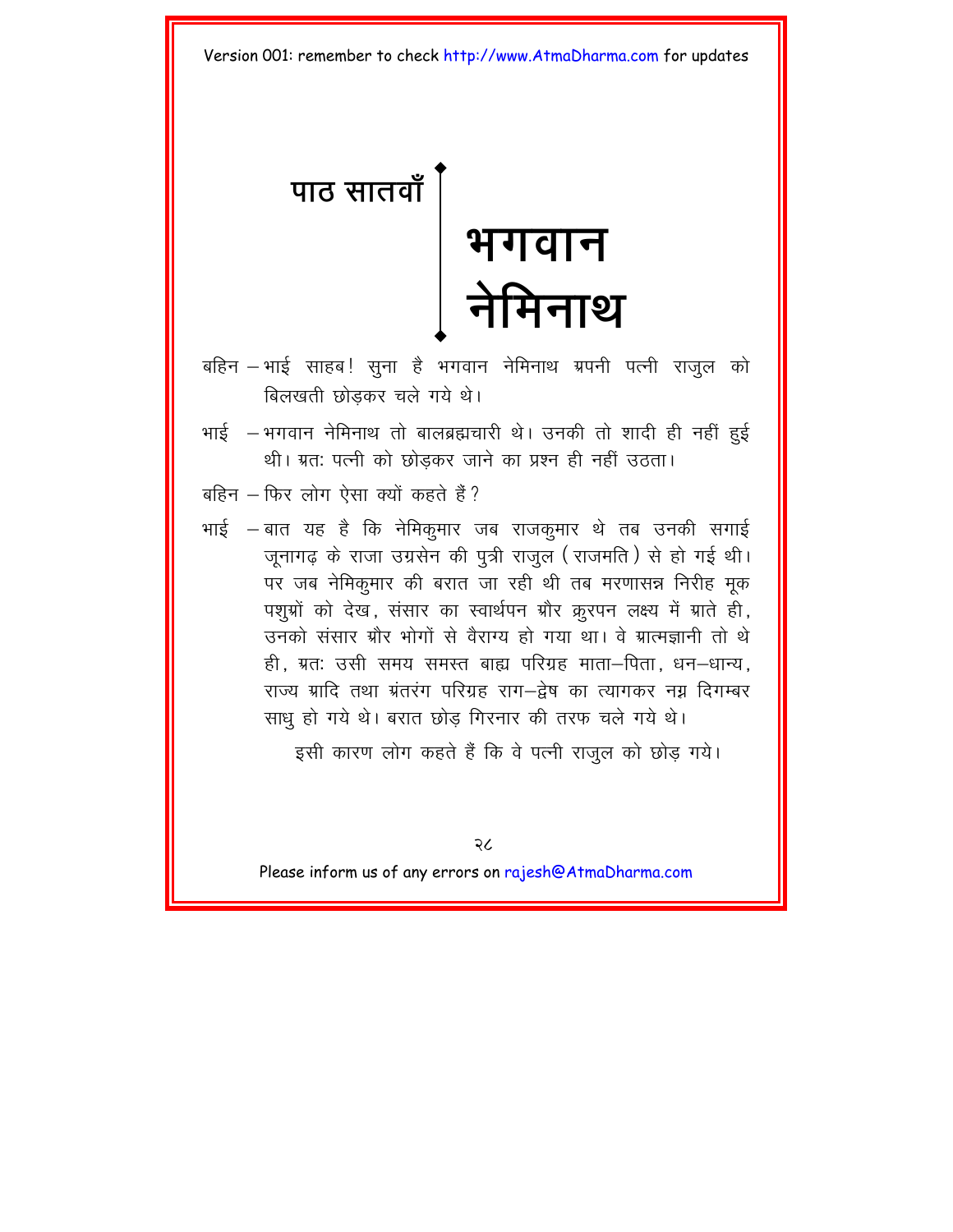<span id="page-30-0"></span>

- बहिन भाई साहब! सूना है भगवान नेमिनाथ ग्रपनी पत्नी राजूल को बिलखती छोड़कर चले गये थे।
- भाई भगवान नेमिनाथ तो बालब्रह्मचारी थे। उनकी तो शादी ही नहीं हुई थी। ग्रत: पत्नी को छोड़कर जाने का प्रश्न ही नहीं उठता।
- बहिन फिर लोग ऐसा क्यों कहते हैं ?
- भाई बात यह है कि नेमिकृमार जब राजकृमार थे तब उनकी सगाई जूनागढ़ के राजा उग्रसेन की पूत्री राजूल (राजमति) से हो गई थी। पर जब नेमिकूमार की बरात जा रही थी तब मरणासन्न निरीह मूक पशुभ्रों को देख, संसार का स्वार्थपन ग्रौर क्रूरपन लक्ष्य में ग्राते ही, उनको संसार ग्रौर भोगों से वैराग्य हो गया था। वे ग्रात्मज्ञानी तो थे ही, ग्रतः उसी समय समस्त बाह्य परिग्रह माता-पिता, धन-धान्य. राज्य ग्रादि तथा ग्रंतरंग परिग्रह राग—द्नेष का त्यागकर नग्न दिगम्बर साध हो गये थे। बरात छोड़ गिरनार की तरफ चले गये थे।

इसी कारण लोग कहते हैं कि वे पत्नी राजुल को छोड़ गये।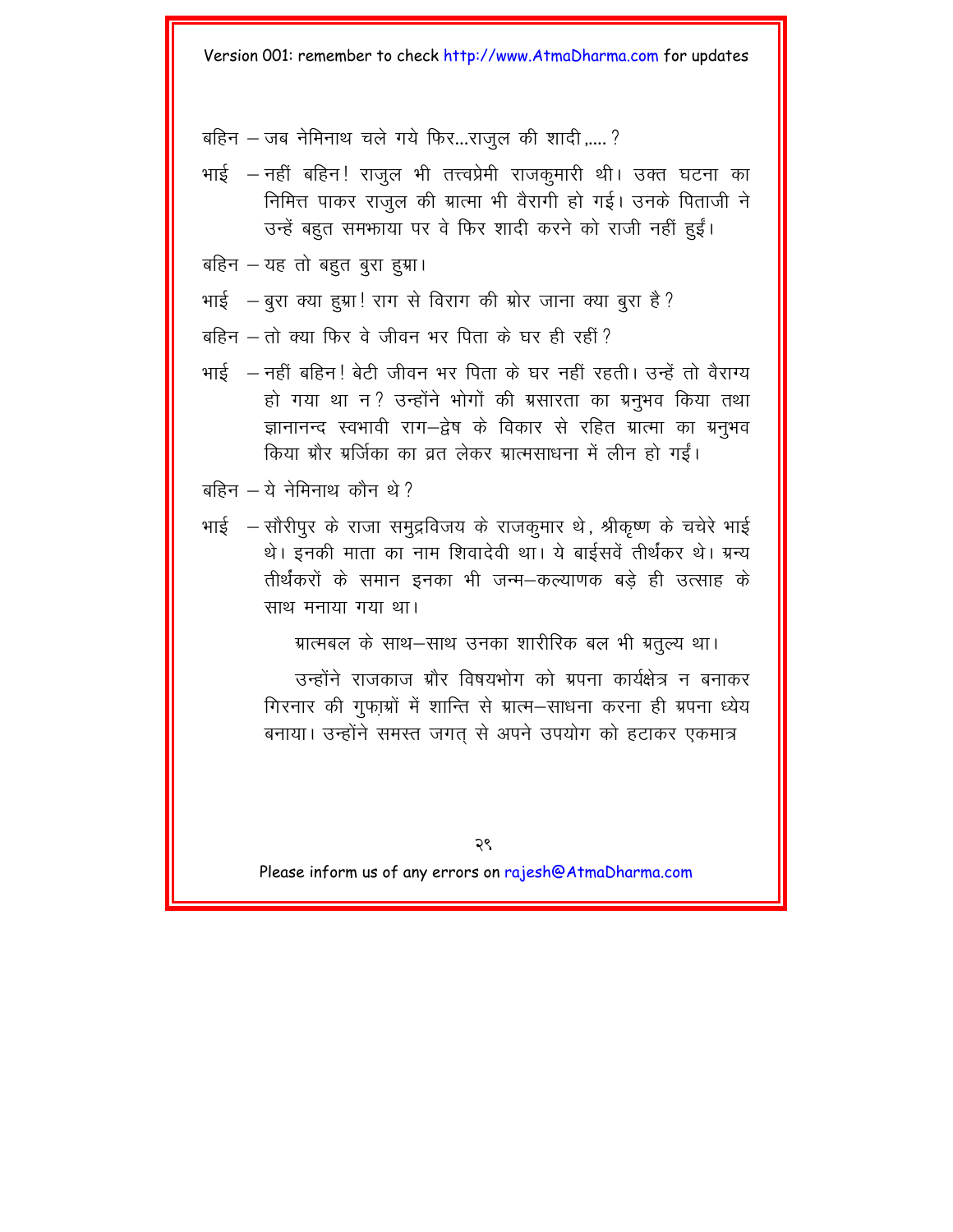बहिन – जब नेमिनाथ चले गये फिर...राजुल की शादी .....?

भाई – नहीं बहिन! राजूल भी तत्त्वप्रेमी राजकुमारी थी। उक्त घटना का निमित्त पाकर राजल की ग्रात्मा भी वैरागी हो गई। उनके पिताजी ने उन्हें बहुत समफाया पर वे फिर शादी करने को राजी नहीं हुईं।

बहिन - यह तो बहुत बुरा हुग्रा।

भाई — बुरा क्या हुग्रा! राग से विराग की ग्रोर जाना क्या बूरा है ?

बहिन – तो क्या फिर वे जीवन भर पिता के घर ही रहीं?

भाई — नहीं बहिन! बेटी जीवन भर पिता के घर नहीं रहती। उन्हें तो वैराग्य हो गया था न? उन्होंने भोगों की ग्रसारता का ग्रनभव किया तथा ज्ञानानन्द स्वभावी राग-द्वेष के विकार से रहित ग्रात्मा का ग्रनुभव किया ग्रौर ग्रर्जिका का व्रत लेकर ग्रात्मसाधना में लीन हो गईं।

भाई – सौरीपुर के राजा समुद्रविजय के राजकुमार थे, श्रीकृष्ण के चचेरे भाई थे। इनकी माता का नाम शिवादेवी था। ये बाईसवें तीर्थंकर थे। ग्रन्य तीर्थंकरों के समान इनका भी जन्म–कल्याणक बड़े ही उत्साह के साथ मनाया गया था।

ग्रात्मबल के साथ-साथ उनका शारीरिक बल भी ग्रतुल्य था।

उन्होंने राजकाज ग्रौर विषयभोग को ग्रपना कार्यक्षेत्र न बनाकर गिरनार की गुफा़ग्रों में शान्ति से ग्रात्म–साधना करना ही ग्रपना ध्येय बनाया। उन्होंने समस्त जगत् से अपने उपयोग को हटाकर एकमात्र

बहिन $-$ ये नेमिनाथ कौन थे?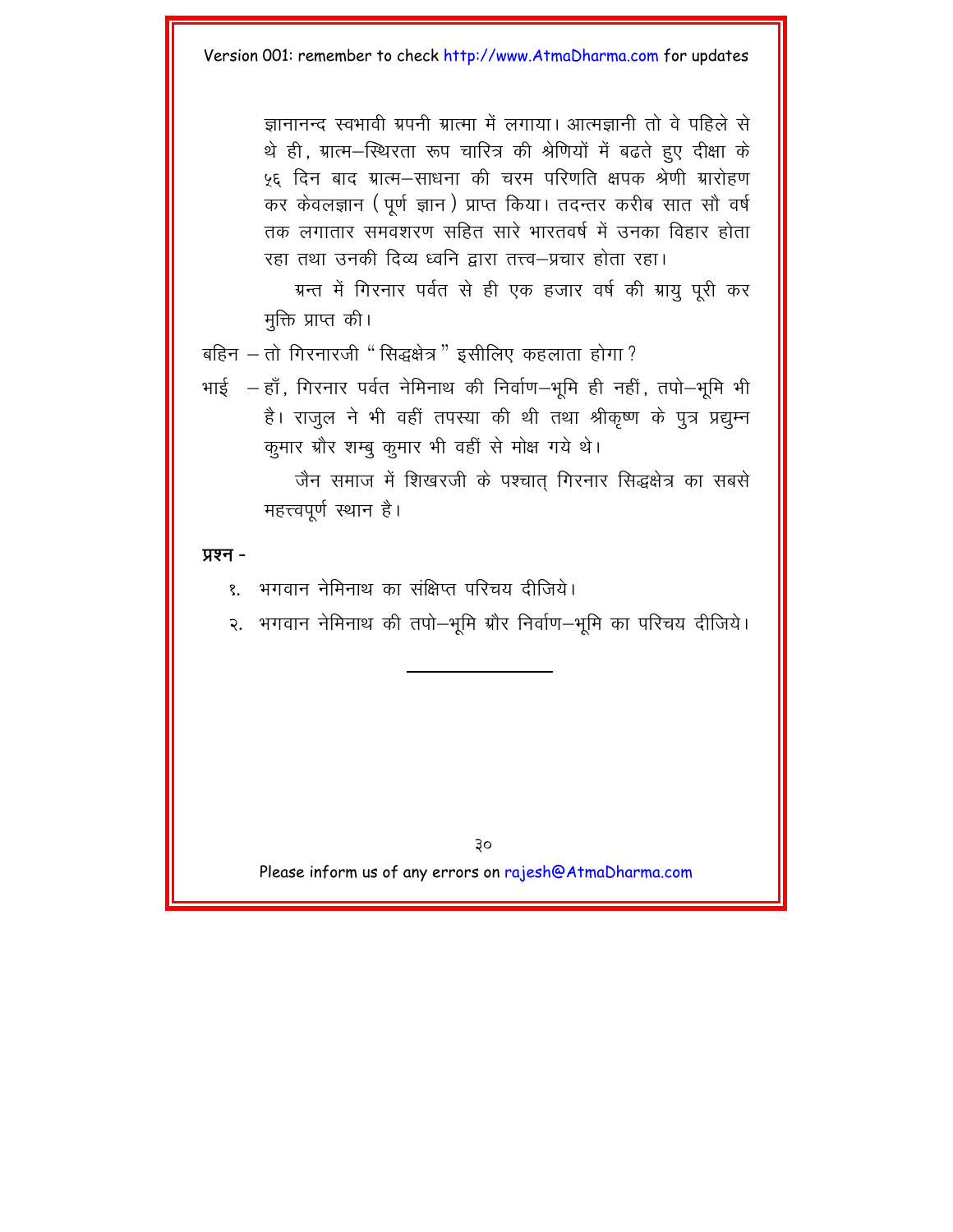ज्ञानानन्द स्वभावी ग्रपनी ग्रात्मा में लगाया। आत्मज्ञानी तो वे पहिले से थे ही. ग्रात्म-स्थिरता रूप चारित्र की श्रेणियों में बढते हुए दीक्षा के ५६ दिन बाद ग्रात्म—साधना की चरम परिणति क्षपक श्रेणी ग्रारोहण कर केवलज्ञान (पूर्ण ज्ञान) प्राप्त किया। तदन्तर करीब सात सौ वर्ष तक लगातार समवशरण सहित सारे भारतवर्ष में उनका विहार होता रहा तथा उनकी दिव्य ध्वनि द्वारा तत्त्व–प्रचार होता रहा।

ग्रन्त में गिरनार पर्वत से ही एक हजार वर्ष की ग्रायु पूरी कर मुक्ति प्राप्त की।

बहिन – तो गिरनारजी " सिद्धक्षेत्र" इसीलिए कहलाता होगा?

भाई  $-$  हाँ, गिरनार पर्वत नेमिनाथ की निर्वाण $-$ भूमि ही नहीं, तपो $-$ भूमि भी है। राजुल ने भी वहीं तपस्या की थी तथा श्रीकृष्ण के पुत्र प्रद्युम्न कुमार ग्रौर शम्बू कुमार भी वहीं से मोक्ष गये थे।

> जैन समाज में शिखरजी के पश्चात गिरनार सिद्धक्षेत्र का सबसे महत्त्वपूर्ण स्थान है।

#### **yxe -**

- १. भगवान नेमिनाथ का संक्षिप्त परिचय दीजिये।
- २. भगवान नेमिनाथ की तपो–भूमि ग्रौर निर्वाण–भूमि का परिचय दीजिये।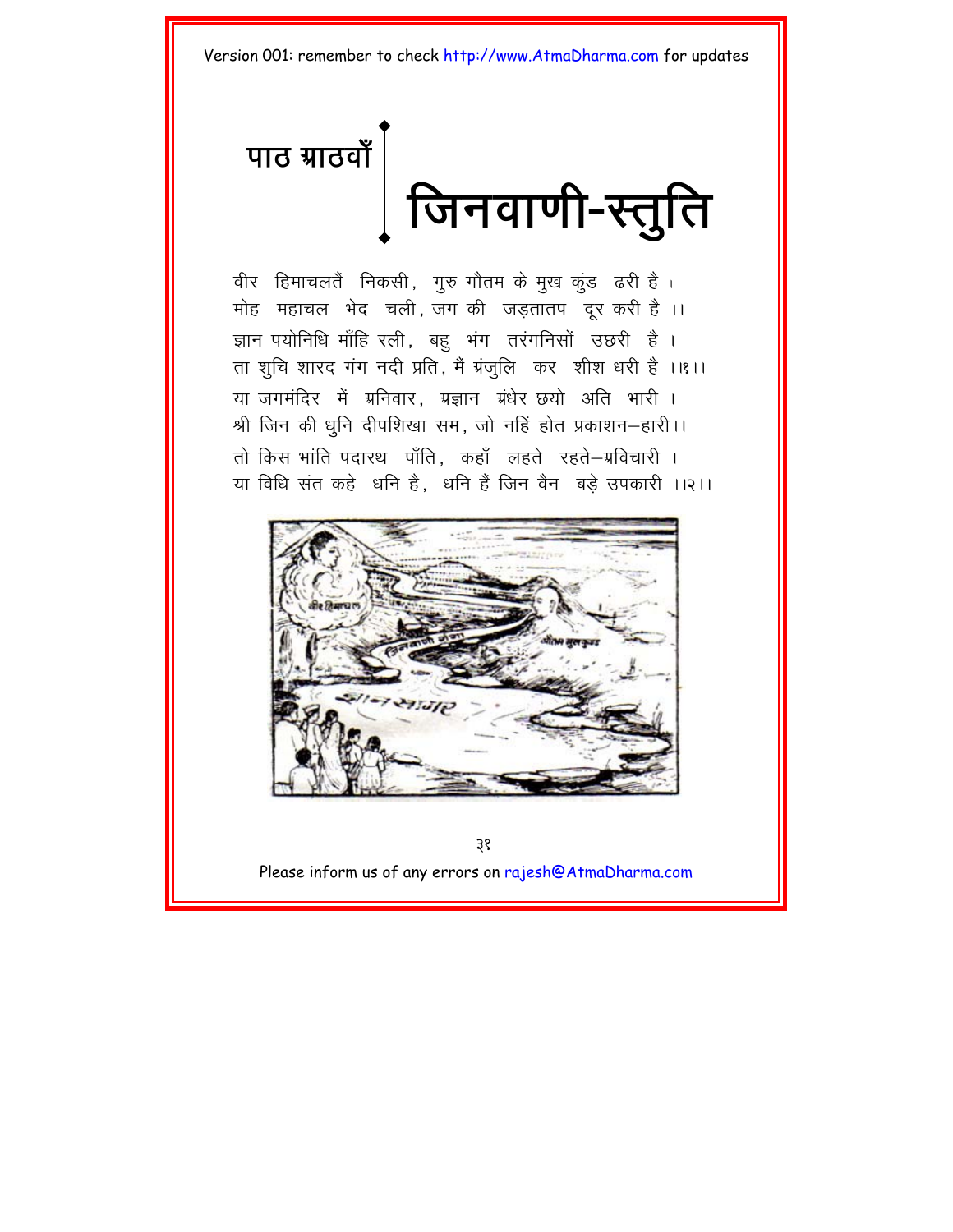<span id="page-33-0"></span>पाठ ग्राठवाँ  $\left.\right[$ | जिनवाणी-स्तुति

वीर हिमाचलतैं निकसी, गुरु गौतम के मुख कुंड ढरी है। मोह महाचल भेद चली जग की जडतातप दर करी है।। ज्ञान पयोनिधि माँहि रली, बहु भंग तरंगनिसों उछरी है। ता शूचि शारद गंग नदी प्रति, मैं ग्रंजुलि कर शीश धरी है ।।१।। या जगमंदिर में ग्रनिवार. ग्रज्ञान ग्रंधेर छयो अति भारी । श्री जिन की धनि दीपशिखा सम, जो नहिं होत प्रकाशन-हारी।। तो किस भांति पदारथ पाँति. कहाँ लहते रहते-ग्रविचारी । या विधि संत कहे धनि है, धनि हैं जिन वैन बड़े उपकारी ।।२।।



३१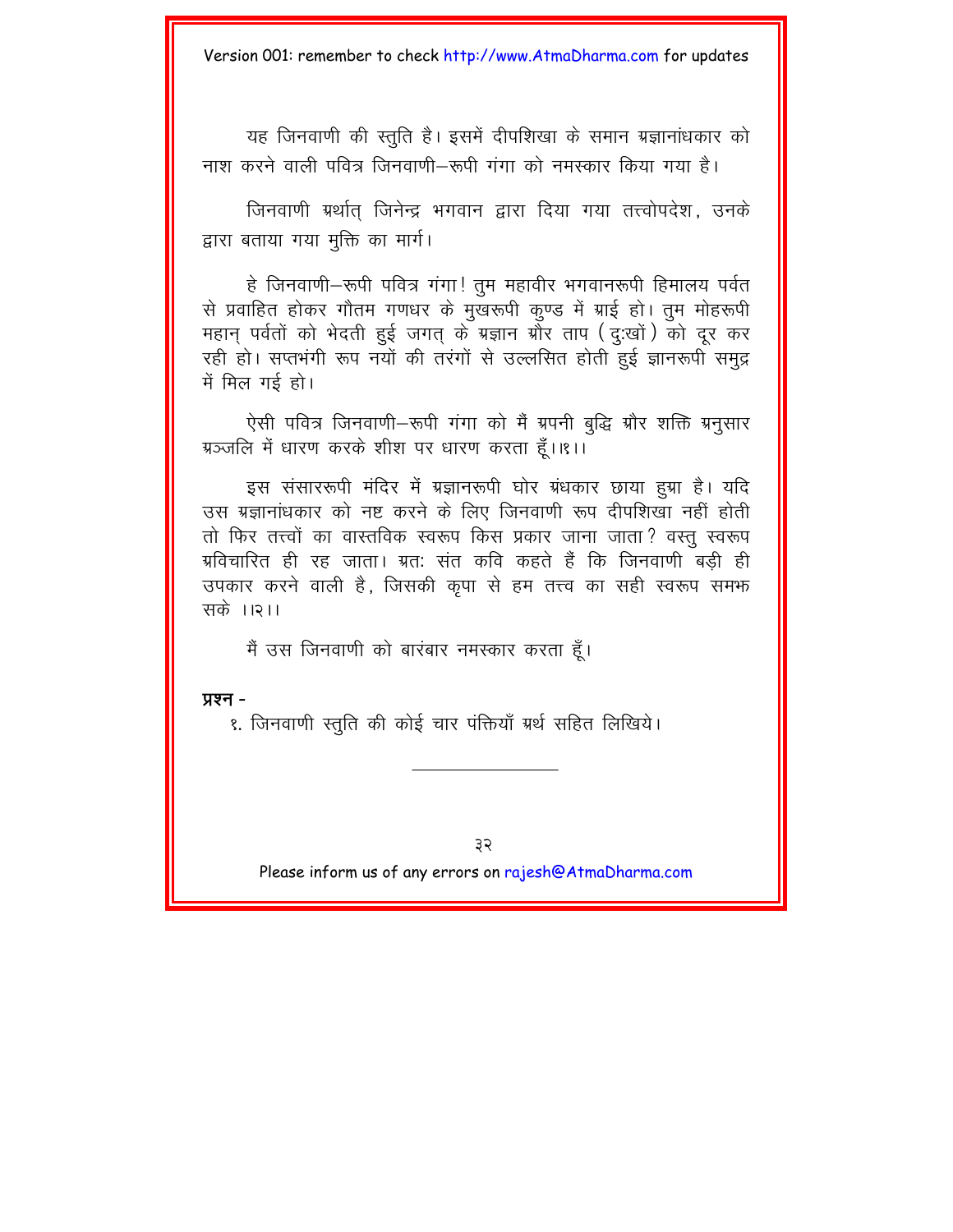यह जिनवाणी की स्तुति है। इसमें दीपशिखा के समान ग्रज्ञानांधकार को नाश करने वाली पवित्र जिनवाणी–रूपी गंगा को नमस्कार किया गया है।

जिनवाणी ग्रर्थात जिनेन्द्र भगवान द्वारा दिया गया तत्त्वोपदेश, उनके द्वारा बताया गया मूक्ति का मार्ग।

हे जिनवाणी-रूपी पवित्र गंगा! तुम महावीर भगवानरूपी हिमालय पर्वत से प्रवाहित होकर गौतम गणधर के मुखरूपी कृण्ड में ग्राई हो। तुम मोहरूपी महान् पर्वतों को भेदती हुई जगत् के ग्रज्ञान ग्रौर ताप (दृ:खों) को दूर कर रही हो। सप्तभंगी रूप नयों की तरंगों से उल्लसित होती हुई ज्ञानरूपी समुद्र में मिल गई हो।

ऐसी पवित्र जिनवाणी-रूपी गंगा को मैं ग्रपनी बुद्धि ग्रौर शक्ति ग्रनुसार ग्रञ्जलि में धारण करके शीश पर धारण करता हैं।।१।।

इस संसाररूपी मंदिर में ग्रज्ञानरूपी घोर ग्रंधकार छाया हुग्रा है। यदि उस ग्रज्ञानांधकार को नष्ट करने के लिए जिनवाणी रूप दीपशिखा नहीं होती तो फिर तत्त्वों का वास्तविक स्वरूप किस प्रकार जाना जाता? वस्तु स्वरूप ग्रविचारित ही रह जाता। ग्रत: संत कवि कहते हैं कि जिनवाणी बड़ी ही उपकार करने वाली है, जिसकी कृपा से हम तत्त्व का सही स्वरूप समफ सके ।।२।।

मैं उस जिनवाणी को बारंबार नमस्कार करता हूँ।

प्रश्न -

१. जिनवाणी स्तुति की कोई चार पंक्तियाँ ग्रर्थ सहित लिखिये।

३२